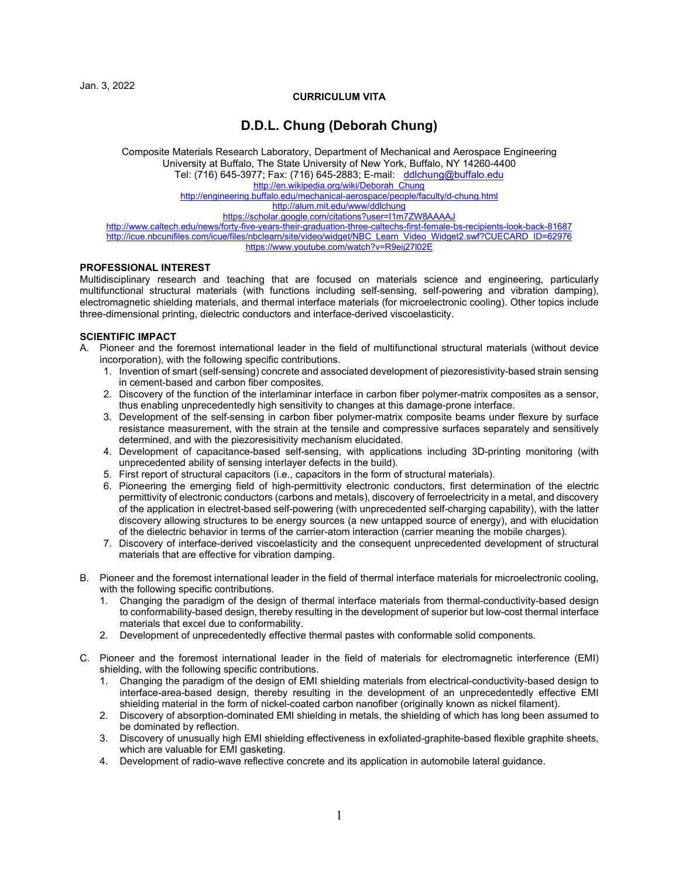Jan. 3, 2022

# **CURRICULUM VITA**

# **D.D.L. Chung (Deborah Chung)**

Composite Materials Research Laboratory, Department of Mechanical and Aerospace Engineering University at Buffalo, The State University of New York, Buffalo, NY 14260-4400 Tel: (716) 645-3977; Fax: (716) 645-2883; E-mail: [ddlchung@buffalo.edu](mailto:ddlchung@buffalo.edu) [http://en.wikipedia.org/wiki/Deborah\\_Chung](http://en.wikipedia.org/wiki/Deborah_Chung) <http://engineering.buffalo.edu/mechanical-aerospace/people/faculty/d-chung.html> <http://alum.mit.edu/www/ddlchung> <https://scholar.google.com/citations?user=I1m7ZW8AAAAJ> <http://www.caltech.edu/news/forty-five-years-their-graduation-three-caltechs-first-female-bs-recipients-look-back-81687>

[http://icue.nbcunifiles.com/icue/files/nbclearn/site/video/widget/NBC\\_Learn\\_Video\\_Widget2.swf?CUECARD\\_ID=62976](http://icue.nbcunifiles.com/icue/files/nbclearn/site/video/widget/NBC_Learn_Video_Widget2.swf?CUECARD_ID=62976) <https://www.youtube.com/watch?v=R9eij27l02E>

# **PROFESSIONAL INTEREST**

Multidisciplinary research and teaching that are focused on materials science and engineering, particularly multifunctional structural materials (with functions including self-sensing, self-powering and vibration damping), electromagnetic shielding materials, and thermal interface materials (for microelectronic cooling). Other topics include three-dimensional printing, dielectric conductors and interface-derived viscoelasticity.

# **SCIENTIFIC IMPACT**

- A. Pioneer and the foremost international leader in the field of multifunctional structural materials (without device incorporation), with the following specific contributions.
	- 1. Invention of smart (self-sensing) concrete and associated development of piezoresistivity-based strain sensing in cement-based and carbon fiber composites.
	- 2. Discovery of the function of the interlaminar interface in carbon fiber polymer-matrix composites as a sensor, thus enabling unprecedentedly high sensitivity to changes at this damage-prone interface.
	- 3. Development of the self-sensing in carbon fiber polymer-matrix composite beams under flexure by surface resistance measurement, with the strain at the tensile and compressive surfaces separately and sensitively determined, and with the piezoresisitivity mechanism elucidated.
	- 4. Development of capacitance-based self-sensing, with applications including 3D-printing monitoring (with unprecedented ability of sensing interlayer defects in the build).
	- 5. First report of structural capacitors (i.e., capacitors in the form of structural materials).
	- 6. Pioneering the emerging field of high-permittivity electronic conductors, first determination of the electric permittivity of electronic conductors (carbons and metals), discovery of ferroelectricity in a metal, and discovery of the application in electret-based self-powering (with unprecedented self-charging capability), with the latter discovery allowing structures to be energy sources (a new untapped source of energy), and with elucidation of the dielectric behavior in terms of the carrier-atom interaction (carrier meaning the mobile charges).
	- 7. Discovery of interface-derived viscoelasticity and the consequent unprecedented development of structural materials that are effective for vibration damping.
- B. Pioneer and the foremost international leader in the field of thermal interface materials for microelectronic cooling, with the following specific contributions.
	- 1. Changing the paradigm of the design of thermal interface materials from thermal-conductivity-based design to conformability-based design, thereby resulting in the development of superior but low-cost thermal interface materials that excel due to conformability.
	- 2. Development of unprecedentedly effective thermal pastes with conformable solid components.
- C. Pioneer and the foremost international leader in the field of materials for electromagnetic interference (EMI) shielding, with the following specific contributions.
	- 1. Changing the paradigm of the design of EMI shielding materials from electrical-conductivity-based design to interface-area-based design, thereby resulting in the development of an unprecedentedly effective EMI shielding material in the form of nickel-coated carbon nanofiber (originally known as nickel filament).
	- 2. Discovery of absorption-dominated EMI shielding in metals, the shielding of which has long been assumed to be dominated by reflection.
	- 3. Discovery of unusually high EMI shielding effectiveness in exfoliated-graphite-based flexible graphite sheets, which are valuable for EMI gasketing.
	- 4. Development of radio-wave reflective concrete and its application in automobile lateral guidance.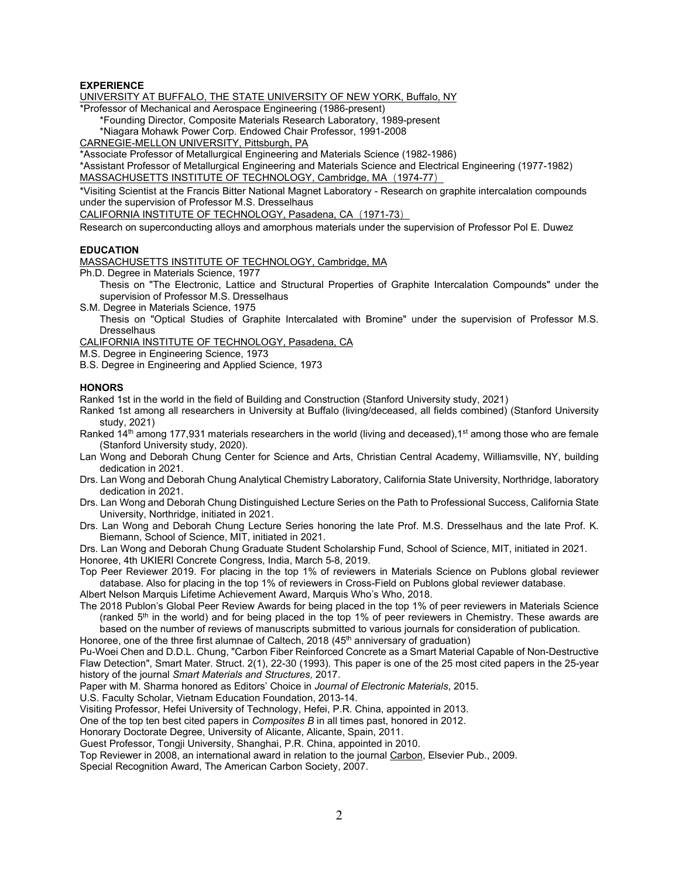### **EXPERIENCE**

UNIVERSITY AT BUFFALO, THE STATE UNIVERSITY OF NEW YORK, Buffalo, NY

\*Professor of Mechanical and Aerospace Engineering (1986-present)

\*Founding Director, Composite Materials Research Laboratory, 1989-present

\*Niagara Mohawk Power Corp. Endowed Chair Professor, 1991-2008

CARNEGIE-MELLON UNIVERSITY, Pittsburgh, PA

\*Associate Professor of Metallurgical Engineering and Materials Science (1982-1986)

\*Assistant Professor of Metallurgical Engineering and Materials Science and Electrical Engineering (1977-1982) MASSACHUSETTS INSTITUTE OF TECHNOLOGY, Cambridge, MA (1974-77)

\*Visiting Scientist at the Francis Bitter National Magnet Laboratory - Research on graphite intercalation compounds under the supervision of Professor M.S. Dresselhaus

CALIFORNIA INSTITUTE OF TECHNOLOGY, Pasadena, CA (1971-73)

Research on superconducting alloys and amorphous materials under the supervision of Professor Pol E. Duwez

#### **EDUCATION**

MASSACHUSETTS INSTITUTE OF TECHNOLOGY, Cambridge, MA

Ph.D. Degree in Materials Science, 1977

Thesis on "The Electronic, Lattice and Structural Properties of Graphite Intercalation Compounds" under the supervision of Professor M.S. Dresselhaus

S.M. Degree in Materials Science, 1975

Thesis on "Optical Studies of Graphite Intercalated with Bromine" under the supervision of Professor M.S. **Dresselhaus** 

CALIFORNIA INSTITUTE OF TECHNOLOGY, Pasadena, CA

M.S. Degree in Engineering Science, 1973

B.S. Degree in Engineering and Applied Science, 1973

#### **HONORS**

Ranked 1st in the world in the field of Building and Construction (Stanford University study, 2021)

Ranked 1st among all researchers in University at Buffalo (living/deceased, all fields combined) (Stanford University study, 2021)

Ranked  $14<sup>th</sup>$  among 177,931 materials researchers in the world (living and deceased), 1<sup>st</sup> among those who are female (Stanford University study, 2020).

- Lan Wong and Deborah Chung Center for Science and Arts, Christian Central Academy, Williamsville, NY, building dedication in 2021.
- Drs. Lan Wong and Deborah Chung Analytical Chemistry Laboratory, California State University, Northridge, laboratory dedication in 2021.
- Drs. Lan Wong and Deborah Chung Distinguished Lecture Series on the Path to Professional Success, California State University, Northridge, initiated in 2021.
- Drs. Lan Wong and Deborah Chung Lecture Series honoring the late Prof. M.S. Dresselhaus and the late Prof. K. Biemann, School of Science, MIT, initiated in 2021.

Drs. Lan Wong and Deborah Chung Graduate Student Scholarship Fund, School of Science, MIT, initiated in 2021. Honoree, 4th UKIERI Concrete Congress, India, March 5-8, 2019.

Top Peer Reviewer 2019. For placing in the top 1% of reviewers in Materials Science on Publons global reviewer database. Also for placing in the top 1% of reviewers in Cross-Field on Publons global reviewer database.

Albert Nelson Marquis Lifetime Achievement Award, Marquis Who's Who, 2018.

The 2018 Publon's Global Peer Review Awards for being placed in the top 1% of peer reviewers in Materials Science (ranked 5<sup>th</sup> in the world) and for being placed in the top 1% of peer reviewers in Chemistry. These awards are based on the number of reviews of manuscripts submitted to various journals for consideration of publication.

Honoree, one of the three first alumnae of Caltech, 2018 (45<sup>th</sup> anniversary of graduation)

Pu-Woei Chen and D.D.L. Chung, "Carbon Fiber Reinforced Concrete as a Smart Material Capable of Non-Destructive Flaw Detection", Smart Mater. Struct. 2(1), 22-30 (1993). This paper is one of the 25 most cited papers in the 25-year history of the journal *Smart Materials and Structures,* 2017.

Paper with M. Sharma honored as Editors' Choice in *Journal of Electronic Materials*, 2015.

U.S. Faculty Scholar, Vietnam Education Foundation, 2013-14.

Visiting Professor, Hefei University of Technology, Hefei, P.R. China, appointed in 2013.

One of the top ten best cited papers in *Composites B* in all times past, honored in 2012.

Honorary Doctorate Degree, University of Alicante, Alicante, Spain, 2011.

Guest Professor, Tongji University, Shanghai, P.R. China, appointed in 2010.

Top Reviewer in 2008, an international award in relation to the journal Carbon, Elsevier Pub., 2009.

Special Recognition Award, The American Carbon Society, 2007.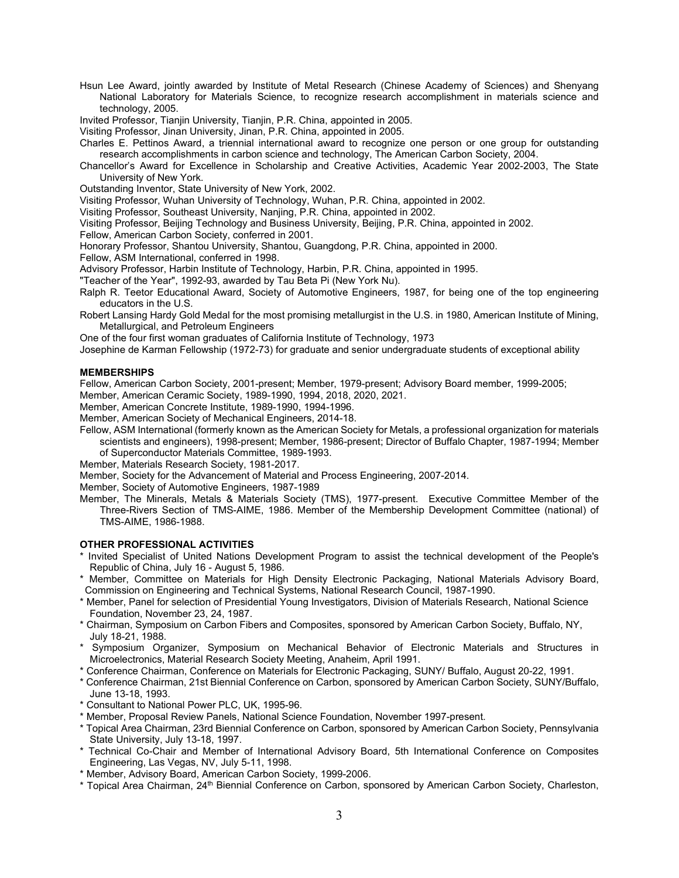Hsun Lee Award, jointly awarded by Institute of Metal Research (Chinese Academy of Sciences) and Shenyang National Laboratory for Materials Science, to recognize research accomplishment in materials science and technology, 2005.

Invited Professor, Tianjin University, Tianjin, P.R. China, appointed in 2005.

Visiting Professor, Jinan University, Jinan, P.R. China, appointed in 2005.

Charles E. Pettinos Award, a triennial international award to recognize one person or one group for outstanding research accomplishments in carbon science and technology, The American Carbon Society, 2004.

Chancellor's Award for Excellence in Scholarship and Creative Activities, Academic Year 2002-2003, The State University of New York.

Outstanding Inventor, State University of New York, 2002.

Visiting Professor, Wuhan University of Technology, Wuhan, P.R. China, appointed in 2002.

Visiting Professor, Southeast University, Nanjing, P.R. China, appointed in 2002.

Visiting Professor, Beijing Technology and Business University, Beijing, P.R. China, appointed in 2002.

Fellow, American Carbon Society, conferred in 2001.

Honorary Professor, Shantou University, Shantou, Guangdong, P.R. China, appointed in 2000.

Fellow, ASM International, conferred in 1998.

Advisory Professor, Harbin Institute of Technology, Harbin, P.R. China, appointed in 1995.

"Teacher of the Year", 1992-93, awarded by Tau Beta Pi (New York Nu).

Ralph R. Teetor Educational Award, Society of Automotive Engineers, 1987, for being one of the top engineering educators in the U.S.

Robert Lansing Hardy Gold Medal for the most promising metallurgist in the U.S. in 1980, American Institute of Mining, Metallurgical, and Petroleum Engineers

One of the four first woman graduates of California Institute of Technology, 1973

Josephine de Karman Fellowship (1972-73) for graduate and senior undergraduate students of exceptional ability

#### **MEMBERSHIPS**

Fellow, American Carbon Society, 2001-present; Member, 1979-present; Advisory Board member, 1999-2005;

Member, American Ceramic Society, 1989-1990, 1994, 2018, 2020, 2021.

Member, American Concrete Institute, 1989-1990, 1994-1996.

Member, American Society of Mechanical Engineers, 2014-18.

Fellow, ASM International (formerly known as the American Society for Metals, a professional organization for materials scientists and engineers), 1998-present; Member, 1986-present; Director of Buffalo Chapter, 1987-1994; Member of Superconductor Materials Committee, 1989-1993.

Member, Materials Research Society, 1981-2017.

Member, Society for the Advancement of Material and Process Engineering, 2007-2014.

Member, Society of Automotive Engineers, 1987-1989

Member, The Minerals, Metals & Materials Society (TMS), 1977-present. Executive Committee Member of the Three-Rivers Section of TMS-AIME, 1986. Member of the Membership Development Committee (national) of TMS-AIME, 1986-1988.

#### **OTHER PROFESSIONAL ACTIVITIES**

- \* Invited Specialist of United Nations Development Program to assist the technical development of the People's Republic of China, July 16 - August 5, 1986.
- \* Member, Committee on Materials for High Density Electronic Packaging, National Materials Advisory Board, Commission on Engineering and Technical Systems, National Research Council, 1987-1990.
- \* Member, Panel for selection of Presidential Young Investigators, Division of Materials Research, National Science Foundation, November 23, 24, 1987.
- \* Chairman, Symposium on Carbon Fibers and Composites, sponsored by American Carbon Society, Buffalo, NY, July 18-21, 1988.
- \* Symposium Organizer, Symposium on Mechanical Behavior of Electronic Materials and Structures in Microelectronics, Material Research Society Meeting, Anaheim, April 1991.
- \* Conference Chairman, Conference on Materials for Electronic Packaging, SUNY/ Buffalo, August 20-22, 1991.
- \* Conference Chairman, 21st Biennial Conference on Carbon, sponsored by American Carbon Society, SUNY/Buffalo, June 13-18, 1993.
- \* Consultant to National Power PLC, UK, 1995-96.
- \* Member, Proposal Review Panels, National Science Foundation, November 1997-present.
- \* Topical Area Chairman, 23rd Biennial Conference on Carbon, sponsored by American Carbon Society, Pennsylvania State University, July 13-18, 1997.
- \* Technical Co-Chair and Member of International Advisory Board, 5th International Conference on Composites Engineering, Las Vegas, NV, July 5-11, 1998.
- \* Member, Advisory Board, American Carbon Society, 1999-2006.
- \* Topical Area Chairman, 24th Biennial Conference on Carbon, sponsored by American Carbon Society, Charleston,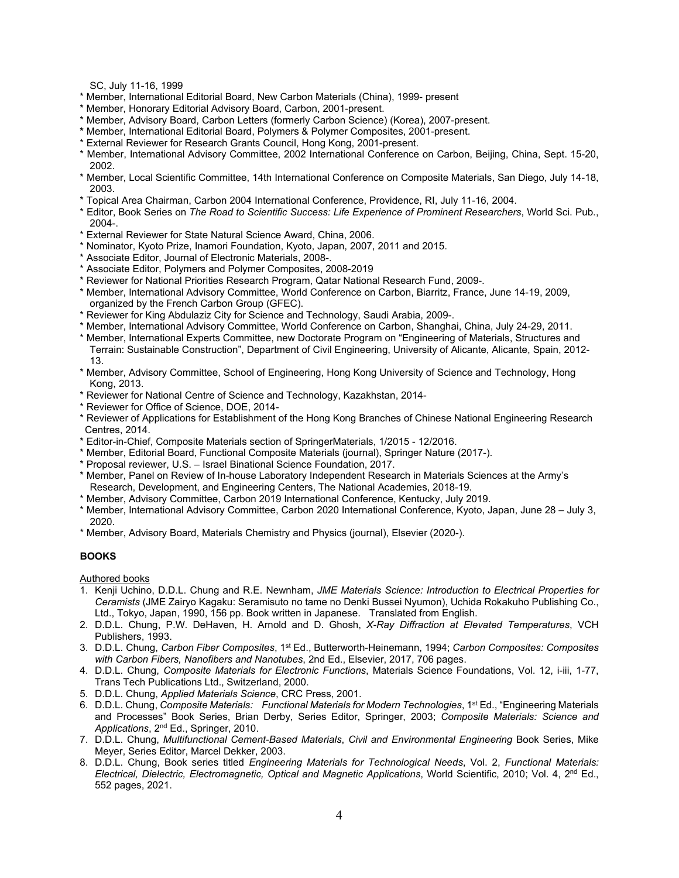SC, July 11-16, 1999

- \* Member, International Editorial Board, New Carbon Materials (China), 1999- present
- \* Member, Honorary Editorial Advisory Board, Carbon, 2001-present.
- \* Member, Advisory Board, Carbon Letters (formerly Carbon Science) (Korea), 2007-present.
- **\*** Member, International Editorial Board, Polymers & Polymer Composites, 2001-present.
- \* External Reviewer for Research Grants Council, Hong Kong, 2001-present.
- \* Member, International Advisory Committee, 2002 International Conference on Carbon, Beijing, China, Sept. 15-20, 2002.
- \* Member, Local Scientific Committee, 14th International Conference on Composite Materials, San Diego, July 14-18, 2003.
- \* Topical Area Chairman, Carbon 2004 International Conference, Providence, RI, July 11-16, 2004.
- \* Editor, Book Series on *The Road to Scientific Success: Life Experience of Prominent Researchers*, World Sci. Pub., 2004-.
- \* External Reviewer for State Natural Science Award, China, 2006.
- \* Nominator, Kyoto Prize, Inamori Foundation, Kyoto, Japan, 2007, 2011 and 2015.
- \* Associate Editor, Journal of Electronic Materials, 2008-.
- \* Associate Editor, Polymers and Polymer Composites, 2008-2019
- \* Reviewer for National Priorities Research Program, Qatar National Research Fund, 2009-.
- \* Member, International Advisory Committee, World Conference on Carbon, Biarritz, France, June 14-19, 2009, organized by the French Carbon Group (GFEC).
- \* Reviewer for King Abdulaziz City for Science and Technology, Saudi Arabia, 2009-.
- \* Member, International Advisory Committee, World Conference on Carbon, Shanghai, China, July 24-29, 2011.
- \* Member, International Experts Committee, new Doctorate Program on "Engineering of Materials, Structures and Terrain: Sustainable Construction", Department of Civil Engineering, University of Alicante, Alicante, Spain, 2012- 13.
- \* Member, Advisory Committee, School of Engineering, Hong Kong University of Science and Technology, Hong Kong, 2013.
- \* Reviewer for National Centre of Science and Technology, Kazakhstan, 2014-
- \* Reviewer for Office of Science, DOE, 2014-
- \* Reviewer of Applications for Establishment of the Hong Kong Branches of Chinese National Engineering Research Centres, 2014.
- \* Editor-in-Chief, Composite Materials section of SpringerMaterials, 1/2015 12/2016.
- \* Member, Editorial Board, Functional Composite Materials (journal), Springer Nature (2017-).
- \* Proposal reviewer, U.S. Israel Binational Science Foundation, 2017.
- \* Member, Panel on Review of In-house Laboratory Independent Research in Materials Sciences at the Army's Research, Development, and Engineering Centers, The National Academies, 2018-19.
- \* Member, Advisory Committee, Carbon 2019 International Conference, Kentucky, July 2019.
- \* Member, International Advisory Committee, Carbon 2020 International Conference, Kyoto, Japan, June 28 July 3, 2020.
- \* Member, Advisory Board, Materials Chemistry and Physics (journal), Elsevier (2020-).

# **BOOKS**

Authored books

- 1. Kenji Uchino, D.D.L. Chung and R.E. Newnham, *JME Materials Science: Introduction to Electrical Properties for Ceramists* (JME Zairyo Kagaku: Seramisuto no tame no Denki Bussei Nyumon), Uchida Rokakuho Publishing Co., Ltd., Tokyo, Japan, 1990, 156 pp. Book written in Japanese. Translated from English.
- 2. D.D.L. Chung, P.W. DeHaven, H. Arnold and D. Ghosh, *X-Ray Diffraction at Elevated Temperatures*, VCH Publishers, 1993.
- 3. D.D.L. Chung, *Carbon Fiber Composites*, 1st Ed., Butterworth-Heinemann, 1994; *Carbon Composites: Composites with Carbon Fibers, Nanofibers and Nanotubes*, 2nd Ed., Elsevier, 2017, 706 pages.
- 4. D.D.L. Chung, *Composite Materials for Electronic Functions*, Materials Science Foundations, Vol. 12, i-iii, 1-77, Trans Tech Publications Ltd., Switzerland, 2000.
- 5. D.D.L. Chung, *Applied Materials Science*, CRC Press, 2001.
- 6. D.D.L. Chung, *Composite Materials: Functional Materials for Modern Technologies*, 1st Ed., "Engineering Materials and Processes" Book Series, Brian Derby, Series Editor, Springer, 2003; *Composite Materials: Science and Applications*, 2nd Ed., Springer, 2010.
- 7. D.D.L. Chung, *Multifunctional Cement-Based Materials*, *Civil and Environmental Engineering* Book Series, Mike Meyer, Series Editor, Marcel Dekker, 2003.
- 8. D.D.L. Chung, Book series titled *Engineering Materials for Technological Needs*, Vol. 2, *Functional Materials: Electrical, Dielectric, Electromagnetic, Optical and Magnetic Applications*, World Scientific, 2010; Vol. 4, 2nd Ed., 552 pages, 2021.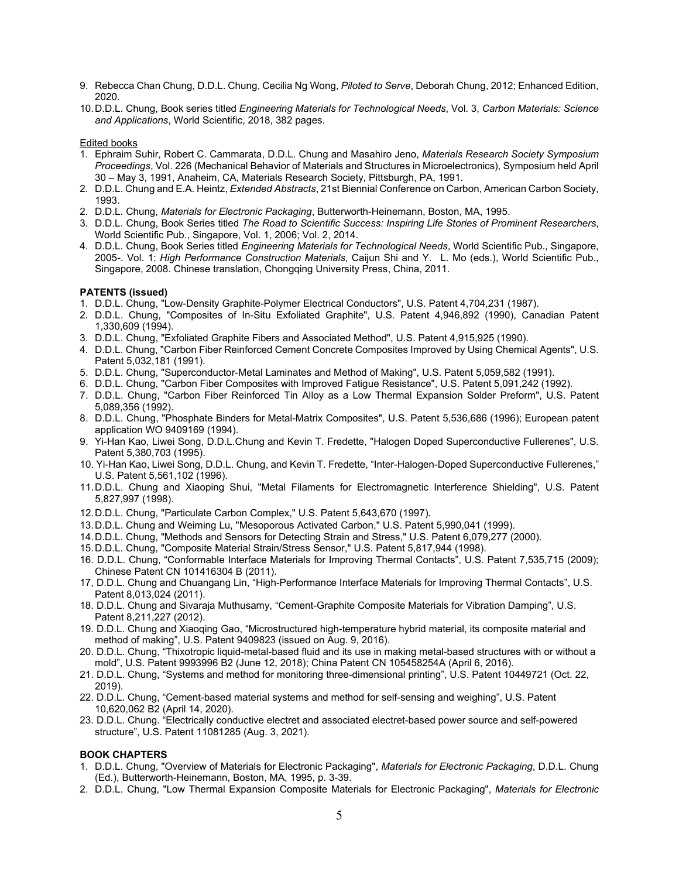- 9. Rebecca Chan Chung, D.D.L. Chung, Cecilia Ng Wong, *Piloted to Serve*, Deborah Chung, 2012; Enhanced Edition, 2020.
- 10.D.D.L. Chung, Book series titled *Engineering Materials for Technological Needs*, Vol. 3, *Carbon Materials: Science and Applications*, World Scientific, 2018, 382 pages.

#### Edited books

- 1. Ephraim Suhir, Robert C. Cammarata, D.D.L. Chung and Masahiro Jeno, *Materials Research Society Symposium Proceedings*, Vol. 226 (Mechanical Behavior of Materials and Structures in Microelectronics), Symposium held April 30 – May 3, 1991, Anaheim, CA, Materials Research Society, Pittsburgh, PA, 1991.
- 2. D.D.L. Chung and E.A. Heintz, *Extended Abstracts*, 21st Biennial Conference on Carbon, American Carbon Society, 1993.
- 2. D.D.L. Chung, *Materials for Electronic Packaging*, Butterworth-Heinemann, Boston, MA, 1995.
- 3. D.D.L. Chung, Book Series titled *The Road to Scientific Success: Inspiring Life Stories of Prominent Researchers*, World Scientific Pub., Singapore, Vol. 1, 2006; Vol. 2, 2014.
- 4. D.D.L. Chung, Book Series titled *Engineering Materials for Technological Needs*, World Scientific Pub., Singapore, 2005-. Vol. 1: *High Performance Construction Materials*, Caijun Shi and Y. L. Mo (eds.), World Scientific Pub., Singapore, 2008. Chinese translation, Chongqing University Press, China, 2011.

# **PATENTS (issued)**

- 1. D.D.L. Chung, "Low-Density Graphite-Polymer Electrical Conductors", U.S. Patent 4,704,231 (1987).
- 2. D.D.L. Chung, "Composites of In-Situ Exfoliated Graphite", U.S. Patent 4,946,892 (1990), Canadian Patent 1,330,609 (1994).
- 3. D.D.L. Chung, "Exfoliated Graphite Fibers and Associated Method", U.S. Patent 4,915,925 (1990).
- 4. D.D.L. Chung, "Carbon Fiber Reinforced Cement Concrete Composites Improved by Using Chemical Agents", U.S. Patent 5,032,181 (1991).
- 5. D.D.L. Chung, "Superconductor-Metal Laminates and Method of Making", U.S. Patent 5,059,582 (1991).
- 6. D.D.L. Chung, "Carbon Fiber Composites with Improved Fatigue Resistance", U.S. Patent 5,091,242 (1992).
- 7. D.D.L. Chung, "Carbon Fiber Reinforced Tin Alloy as a Low Thermal Expansion Solder Preform", U.S. Patent 5,089,356 (1992).
- 8. D.D.L. Chung, "Phosphate Binders for Metal-Matrix Composites", U.S. Patent 5,536,686 (1996); European patent application WO 9409169 (1994).
- 9. Yi-Han Kao, Liwei Song, D.D.L.Chung and Kevin T. Fredette, "Halogen Doped Superconductive Fullerenes", U.S. Patent 5,380,703 (1995).
- 10. Yi-Han Kao, Liwei Song, D.D.L. Chung, and Kevin T. Fredette, "Inter-Halogen-Doped Superconductive Fullerenes," U.S. Patent 5,561,102 (1996).
- 11.D.D.L. Chung and Xiaoping Shui, "Metal Filaments for Electromagnetic Interference Shielding", U.S. Patent 5,827,997 (1998).
- 12.D.D.L. Chung, "Particulate Carbon Complex," U.S. Patent 5,643,670 (1997)*.*
- 13.D.D.L. Chung and Weiming Lu, "Mesoporous Activated Carbon," U.S. Patent 5,990,041 (1999).
- 14.D.D.L. Chung, "Methods and Sensors for Detecting Strain and Stress," U.S. Patent 6,079,277 (2000).
- 15.D.D.L. Chung, "Composite Material Strain/Stress Sensor," U.S. Patent 5,817,944 (1998).
- 16. D.D.L. Chung, "Conformable Interface Materials for Improving Thermal Contacts", U.S. Patent 7,535,715 (2009); Chinese Patent CN 101416304 B (2011).
- 17, D.D.L. Chung and Chuangang Lin, "High-Performance Interface Materials for Improving Thermal Contacts", U.S. Patent 8,013,024 (2011).
- 18. D.D.L. Chung and Sivaraja Muthusamy, "Cement-Graphite Composite Materials for Vibration Damping", U.S. Patent 8,211,227 (2012).
- 19. D.D.L. Chung and Xiaoqing Gao, "Microstructured high-temperature hybrid material, its composite material and method of making", U.S. Patent 9409823 (issued on Aug. 9, 2016).
- 20. D.D.L. Chung, "Thixotropic liquid-metal-based fluid and its use in making metal-based structures with or without a mold", U.S. Patent 9993996 B2 (June 12, 2018); China Patent CN 105458254A (April 6, 2016).
- 21. D.D.L. Chung, "Systems and method for monitoring three-dimensional printing", U.S. Patent 10449721 (Oct. 22, 2019).
- 22. D.D.L. Chung, "Cement-based material systems and method for self-sensing and weighing", U.S. Patent 10,620,062 B2 (April 14, 2020).
- 23. D.D.L. Chung. "Electrically conductive electret and associated electret-based power source and self-powered structure", U.S. Patent 11081285 (Aug. 3, 2021).

# **BOOK CHAPTERS**

- 1. D.D.L. Chung, "Overview of Materials for Electronic Packaging", *Materials for Electronic Packaging*, D.D.L. Chung (Ed.), Butterworth-Heinemann, Boston, MA, 1995, p. 3-39.
- 2. D.D.L. Chung, "Low Thermal Expansion Composite Materials for Electronic Packaging", *Materials for Electronic*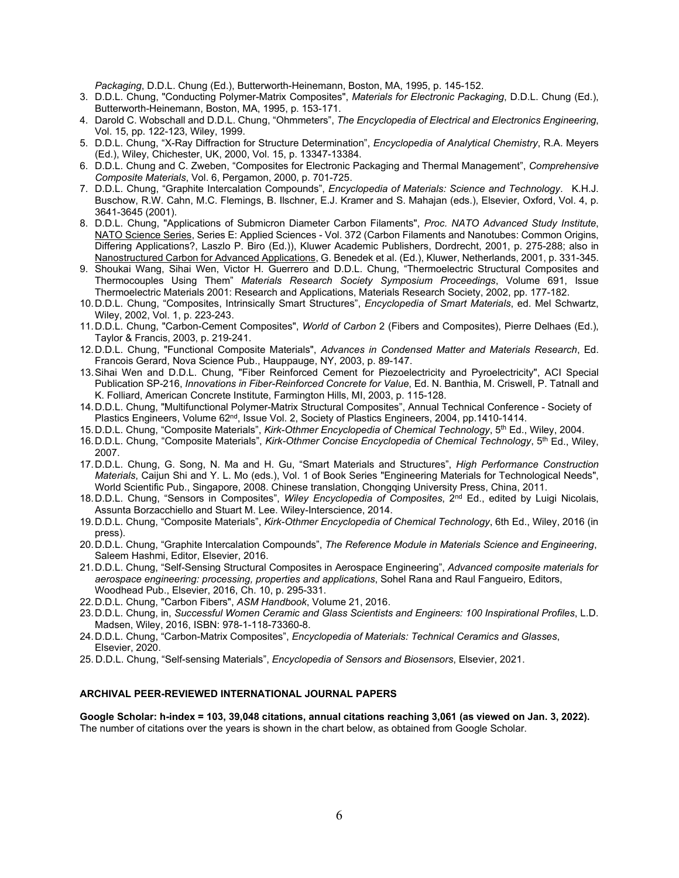*Packaging*, D.D.L. Chung (Ed.), Butterworth-Heinemann, Boston, MA, 1995, p. 145-152.

- 3. D.D.L. Chung, "Conducting Polymer-Matrix Composites", *Materials for Electronic Packaging*, D.D.L. Chung (Ed.), Butterworth-Heinemann, Boston, MA, 1995, p. 153-171.
- 4. Darold C. Wobschall and D.D.L. Chung, "Ohmmeters", *The Encyclopedia of Electrical and Electronics Engineering*, Vol. 15, pp. 122-123, Wiley, 1999.
- 5. D.D.L. Chung, "X-Ray Diffraction for Structure Determination", *Encyclopedia of Analytical Chemistry*, R.A. Meyers (Ed.), Wiley, Chichester, UK, 2000, Vol. 15, p. 13347-13384.
- 6. D.D.L. Chung and C. Zweben, "Composites for Electronic Packaging and Thermal Management", *Comprehensive Composite Materials*, Vol. 6, Pergamon, 2000, p. 701-725.
- 7. D.D.L. Chung, "Graphite Intercalation Compounds", *Encyclopedia of Materials: Science and Technology*. K.H.J. Buschow, R.W. Cahn, M.C. Flemings, B. Ilschner, E.J. Kramer and S. Mahajan (eds.), Elsevier, Oxford, Vol. 4, p. 3641-3645 (2001).
- 8. D.D.L. Chung, "Applications of Submicron Diameter Carbon Filaments", *Proc. NATO Advanced Study Institute*, NATO Science Series, Series E: Applied Sciences - Vol. 372 (Carbon Filaments and Nanotubes: Common Origins, Differing Applications?, Laszlo P. Biro (Ed.)), Kluwer Academic Publishers, Dordrecht, 2001, p. 275-288; also in Nanostructured Carbon for Advanced Applications, G. Benedek et al. (Ed.), Kluwer, Netherlands, 2001, p. 331-345.
- 9. Shoukai Wang, Sihai Wen, Victor H. Guerrero and D.D.L. Chung, "Thermoelectric Structural Composites and Thermocouples Using Them" *Materials Research Society Symposium Proceedings*, Volume 691, Issue Thermoelectric Materials 2001: Research and Applications, Materials Research Society, 2002, pp. 177-182.
- 10.D.D.L. Chung, "Composites, Intrinsically Smart Structures", *Encyclopedia of Smart Materials*, ed. Mel Schwartz, Wiley, 2002, Vol. 1, p. 223-243.
- 11.D.D.L. Chung, "Carbon-Cement Composites", *World of Carbon* 2 (Fibers and Composites), Pierre Delhaes (Ed.), Taylor & Francis, 2003, p. 219-241.
- 12.D.D.L. Chung, "Functional Composite Materials", *Advances in Condensed Matter and Materials Research*, Ed. Francois Gerard, Nova Science Pub., Hauppauge, NY, 2003, p. 89-147.
- 13.Sihai Wen and D.D.L. Chung, "Fiber Reinforced Cement for Piezoelectricity and Pyroelectricity", ACI Special Publication SP-216, *Innovations in Fiber-Reinforced Concrete for Value*, Ed. N. Banthia, M. Criswell, P. Tatnall and K. Folliard, American Concrete Institute, Farmington Hills, MI, 2003, p. 115-128.
- 14.D.D.L. Chung, "Multifunctional Polymer-Matrix Structural Composites", Annual Technical Conference Society of Plastics Engineers, Volume 62<sup>nd</sup>, Issue Vol. 2, Society of Plastics Engineers, 2004, pp.1410-1414.
- 15.D.D.L. Chung, "Composite Materials", *Kirk-Othmer Encyclopedia of Chemical Technology*, 5th Ed., Wiley, 2004.
- 16.D.D.L. Chung, "Composite Materials", *Kirk-Othmer Concise Encyclopedia of Chemical Technology*, 5th Ed., Wiley, 2007.
- 17.D.D.L. Chung, G. Song, N. Ma and H. Gu, "Smart Materials and Structures", *High Performance Construction Materials*, Caijun Shi and Y. L. Mo (eds.), Vol. 1 of Book Series "Engineering Materials for Technological Needs", World Scientific Pub., Singapore, 2008. Chinese translation, Chongqing University Press, China, 2011.
- 18.D.D.L. Chung, "Sensors in Composites", *Wiley Encyclopedia of Composites*, 2nd Ed., edited by Luigi Nicolais, Assunta Borzacchiello and Stuart M. Lee. Wiley-Interscience, 2014.
- 19.D.D.L. Chung, "Composite Materials", *Kirk-Othmer Encyclopedia of Chemical Technology*, 6th Ed., Wiley, 2016 (in press).
- 20.D.D.L. Chung, "Graphite Intercalation Compounds", *The Reference Module in Materials Science and Engineering*, Saleem Hashmi, Editor, Elsevier, 2016.
- 21.D.D.L. Chung, "Self-Sensing Structural Composites in Aerospace Engineering", *Advanced composite materials for aerospace engineering: processing, properties and applications*, Sohel Rana and Raul Fangueiro, Editors, Woodhead Pub., Elsevier, 2016, Ch. 10, p. 295-331.
- 22.D.D.L. Chung, "Carbon Fibers", *ASM Handbook*, Volume 21, 2016.
- 23.D.D.L. Chung, in, *Successful Women Ceramic and Glass Scientists and Engineers: 100 Inspirational Profiles*, L.D. Madsen, Wiley, 2016, ISBN: 978-1-118-73360-8.
- 24.D.D.L. Chung, "Carbon-Matrix Composites", *Encyclopedia of Materials: Technical Ceramics and Glasses*, Elsevier, 2020.
- 25. D.D.L. Chung, "Self-sensing Materials", *Encyclopedia of Sensors and Biosensors*, Elsevier, 2021.

#### **ARCHIVAL PEER-REVIEWED INTERNATIONAL JOURNAL PAPERS**

**Google Scholar: h-index = 103, 39,048 citations, annual citations reaching 3,061 (as viewed on Jan. 3, 2022).** The number of citations over the years is shown in the chart below, as obtained from Google Scholar.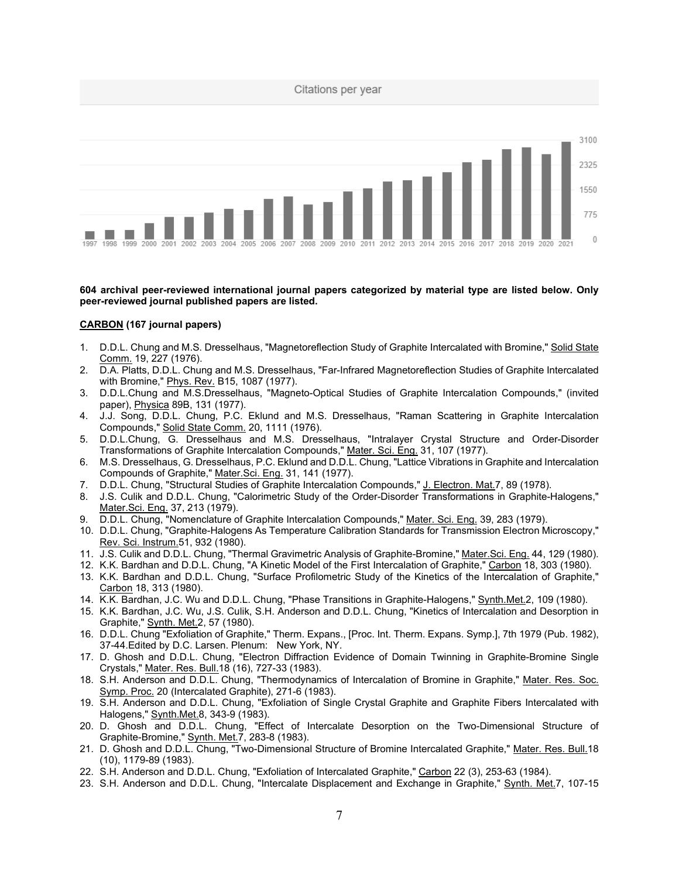

#### **604 archival peer-reviewed international journal papers categorized by material type are listed below. Only peer-reviewed journal published papers are listed.**

# **CARBON (167 journal papers)**

- 1. D.D.L. Chung and M.S. Dresselhaus, "Magnetoreflection Study of Graphite Intercalated with Bromine," Solid State Comm. 19, 227 (1976).
- 2. D.A. Platts, D.D.L. Chung and M.S. Dresselhaus, "Far-Infrared Magnetoreflection Studies of Graphite Intercalated with Bromine," Phys. Rev. B15, 1087 (1977).
- 3. D.D.L.Chung and M.S.Dresselhaus, "Magneto-Optical Studies of Graphite Intercalation Compounds," (invited paper), Physica 89B, 131 (1977).
- 4. J.J. Song, D.D.L. Chung, P.C. Eklund and M.S. Dresselhaus, "Raman Scattering in Graphite Intercalation Compounds," Solid State Comm. 20, 1111 (1976).
- 5. D.D.L.Chung, G. Dresselhaus and M.S. Dresselhaus, "Intralayer Crystal Structure and Order-Disorder Transformations of Graphite Intercalation Compounds," Mater. Sci. Eng. 31, 107 (1977).
- 6. M.S. Dresselhaus, G. Dresselhaus, P.C. Eklund and D.D.L. Chung, "Lattice Vibrations in Graphite and Intercalation Compounds of Graphite," Mater.Sci. Eng. 31, 141 (1977).
- 7. D.D.L. Chung, "Structural Studies of Graphite Intercalation Compounds," J. Electron. Mat.7, 89 (1978).
- 8. J.S. Culik and D.D.L. Chung, "Calorimetric Study of the Order-Disorder Transformations in Graphite-Halogens," Mater.Sci. Eng. 37, 213 (1979).
- 9. D.D.L. Chung, "Nomenclature of Graphite Intercalation Compounds," Mater. Sci. Eng. 39, 283 (1979).
- 10. D.D.L. Chung, "Graphite-Halogens As Temperature Calibration Standards for Transmission Electron Microscopy," Rev. Sci. Instrum.51, 932 (1980).
- 11. J.S. Culik and D.D.L. Chung, "Thermal Gravimetric Analysis of Graphite-Bromine," Mater.Sci. Eng. 44, 129 (1980).
- 12. K.K. Bardhan and D.D.L. Chung, "A Kinetic Model of the First Intercalation of Graphite," Carbon 18, 303 (1980).
- 13. K.K. Bardhan and D.D.L. Chung, "Surface Profilometric Study of the Kinetics of the Intercalation of Graphite," Carbon 18, 313 (1980).
- 14. K.K. Bardhan, J.C. Wu and D.D.L. Chung, "Phase Transitions in Graphite-Halogens," Synth.Met.2, 109 (1980).
- 15. K.K. Bardhan, J.C. Wu, J.S. Culik, S.H. Anderson and D.D.L. Chung, "Kinetics of Intercalation and Desorption in Graphite," Synth. Met.2, 57 (1980).
- 16. D.D.L. Chung "Exfoliation of Graphite," Therm. Expans., [Proc. Int. Therm. Expans. Symp.], 7th 1979 (Pub. 1982), 37-44.Edited by D.C. Larsen. Plenum: New York, NY.
- 17. D. Ghosh and D.D.L. Chung, "Electron Diffraction Evidence of Domain Twinning in Graphite-Bromine Single Crystals," Mater. Res. Bull.18 (16), 727-33 (1983).
- 18. S.H. Anderson and D.D.L. Chung, "Thermodynamics of Intercalation of Bromine in Graphite," Mater. Res. Soc. Symp. Proc. 20 (Intercalated Graphite), 271-6 (1983).
- 19. S.H. Anderson and D.D.L. Chung, "Exfoliation of Single Crystal Graphite and Graphite Fibers Intercalated with Halogens," Synth.Met.8, 343-9 (1983).
- 20. D. Ghosh and D.D.L. Chung, "Effect of Intercalate Desorption on the Two-Dimensional Structure of Graphite-Bromine," Synth. Met.7, 283-8 (1983).
- 21. D. Ghosh and D.D.L. Chung, "Two-Dimensional Structure of Bromine Intercalated Graphite," Mater. Res. Bull.18 (10), 1179-89 (1983).
- 22. S.H. Anderson and D.D.L. Chung, "Exfoliation of Intercalated Graphite," Carbon 22 (3), 253-63 (1984).
- 23. S.H. Anderson and D.D.L. Chung, "Intercalate Displacement and Exchange in Graphite," Synth. Met.7, 107-15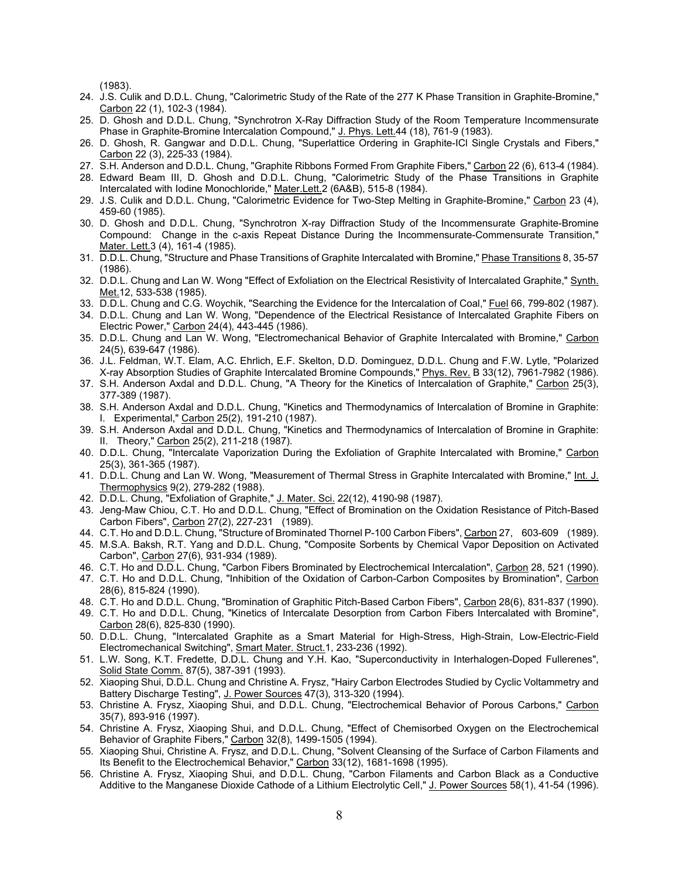(1983).

- 24. J.S. Culik and D.D.L. Chung, "Calorimetric Study of the Rate of the 277 K Phase Transition in Graphite-Bromine," Carbon 22 (1), 102-3 (1984).
- 25. D. Ghosh and D.D.L. Chung, "Synchrotron X-Ray Diffraction Study of the Room Temperature Incommensurate Phase in Graphite-Bromine Intercalation Compound," J. Phys. Lett.44 (18), 761-9 (1983).
- 26. D. Ghosh, R. Gangwar and D.D.L. Chung, "Superlattice Ordering in Graphite-ICl Single Crystals and Fibers," Carbon 22 (3), 225-33 (1984).
- 27. S.H. Anderson and D.D.L. Chung, "Graphite Ribbons Formed From Graphite Fibers," Carbon 22 (6), 613-4 (1984).
- 28. Edward Beam III, D. Ghosh and D.D.L. Chung, "Calorimetric Study of the Phase Transitions in Graphite Intercalated with Iodine Monochloride," Mater.Lett.2 (6A&B), 515-8 (1984).
- 29. J.S. Culik and D.D.L. Chung, "Calorimetric Evidence for Two-Step Melting in Graphite-Bromine," Carbon 23 (4), 459-60 (1985).
- 30. D. Ghosh and D.D.L. Chung, "Synchrotron X-ray Diffraction Study of the Incommensurate Graphite-Bromine Compound: Change in the c-axis Repeat Distance During the Incommensurate-Commensurate Transition," Mater. Lett.3 (4), 161-4 (1985).
- 31. D.D.L. Chung, "Structure and Phase Transitions of Graphite Intercalated with Bromine," Phase Transitions 8, 35-57 (1986).
- 32. D.D.L. Chung and Lan W. Wong "Effect of Exfoliation on the Electrical Resistivity of Intercalated Graphite," Synth. Met.12, 533-538 (1985).
- 33. D.D.L. Chung and C.G. Woychik, "Searching the Evidence for the Intercalation of Coal," Fuel 66, 799-802 (1987).
- 34. D.D.L. Chung and Lan W. Wong, "Dependence of the Electrical Resistance of Intercalated Graphite Fibers on Electric Power," Carbon 24(4), 443-445 (1986).
- 35. D.D.L. Chung and Lan W. Wong, "Electromechanical Behavior of Graphite Intercalated with Bromine," Carbon 24(5), 639-647 (1986).
- 36. J.L. Feldman, W.T. Elam, A.C. Ehrlich, E.F. Skelton, D.D. Dominguez, D.D.L. Chung and F.W. Lytle, "Polarized X-ray Absorption Studies of Graphite Intercalated Bromine Compounds," Phys. Rev. B 33(12), 7961-7982 (1986).
- 37. S.H. Anderson Axdal and D.D.L. Chung, "A Theory for the Kinetics of Intercalation of Graphite," Carbon 25(3), 377-389 (1987).
- 38. S.H. Anderson Axdal and D.D.L. Chung, "Kinetics and Thermodynamics of Intercalation of Bromine in Graphite: I. Experimental," Carbon 25(2), 191-210 (1987).
- 39. S.H. Anderson Axdal and D.D.L. Chung, "Kinetics and Thermodynamics of Intercalation of Bromine in Graphite: II. Theory," Carbon 25(2), 211-218 (1987).
- 40. D.D.L. Chung, "Intercalate Vaporization During the Exfoliation of Graphite Intercalated with Bromine," Carbon 25(3), 361-365 (1987).
- 41. D.D.L. Chung and Lan W. Wong, "Measurement of Thermal Stress in Graphite Intercalated with Bromine," Int. J. Thermophysics 9(2), 279-282 (1988).
- 42. D.D.L. Chung, "Exfoliation of Graphite," J. Mater. Sci. 22(12), 4190-98 (1987).
- 43. Jeng-Maw Chiou, C.T. Ho and D.D.L. Chung, "Effect of Bromination on the Oxidation Resistance of Pitch-Based Carbon Fibers", Carbon 27(2), 227-231 (1989).
- 44. C.T. Ho and D.D.L. Chung, "Structure of Brominated Thornel P-100 Carbon Fibers", Carbon 27, 603-609 (1989).
- 45. M.S.A. Baksh, R.T. Yang and D.D.L. Chung, "Composite Sorbents by Chemical Vapor Deposition on Activated Carbon", Carbon 27(6), 931-934 (1989).
- 46. C.T. Ho and D.D.L. Chung, "Carbon Fibers Brominated by Electrochemical Intercalation", Carbon 28, 521 (1990).
- 47. C.T. Ho and D.D.L. Chung, "Inhibition of the Oxidation of Carbon-Carbon Composites by Bromination", Carbon 28(6), 815-824 (1990).
- 48. C.T. Ho and D.D.L. Chung, "Bromination of Graphitic Pitch-Based Carbon Fibers", Carbon 28(6), 831-837 (1990).
- 49. C.T. Ho and D.D.L. Chung, "Kinetics of Intercalate Desorption from Carbon Fibers Intercalated with Bromine", Carbon 28(6), 825-830 (1990).
- 50. D.D.L. Chung, "Intercalated Graphite as a Smart Material for High-Stress, High-Strain, Low-Electric-Field Electromechanical Switching", Smart Mater. Struct.1, 233-236 (1992).
- 51. L.W. Song, K.T. Fredette, D.D.L. Chung and Y.H. Kao, "Superconductivity in Interhalogen-Doped Fullerenes", Solid State Comm. 87(5), 387-391 (1993).
- 52. Xiaoping Shui, D.D.L. Chung and Christine A. Frysz, "Hairy Carbon Electrodes Studied by Cyclic Voltammetry and Battery Discharge Testing", J. Power Sources 47(3), 313-320 (1994).
- 53. Christine A. Frysz, Xiaoping Shui, and D.D.L. Chung, "Electrochemical Behavior of Porous Carbons," Carbon 35(7), 893-916 (1997).
- 54. Christine A. Frysz, Xiaoping Shui, and D.D.L. Chung, "Effect of Chemisorbed Oxygen on the Electrochemical Behavior of Graphite Fibers," Carbon 32(8), 1499-1505 (1994).
- 55. Xiaoping Shui, Christine A. Frysz, and D.D.L. Chung, "Solvent Cleansing of the Surface of Carbon Filaments and Its Benefit to the Electrochemical Behavior," Carbon 33(12), 1681-1698 (1995).
- 56. Christine A. Frysz, Xiaoping Shui, and D.D.L. Chung, "Carbon Filaments and Carbon Black as a Conductive Additive to the Manganese Dioxide Cathode of a Lithium Electrolytic Cell," J. Power Sources 58(1), 41-54 (1996).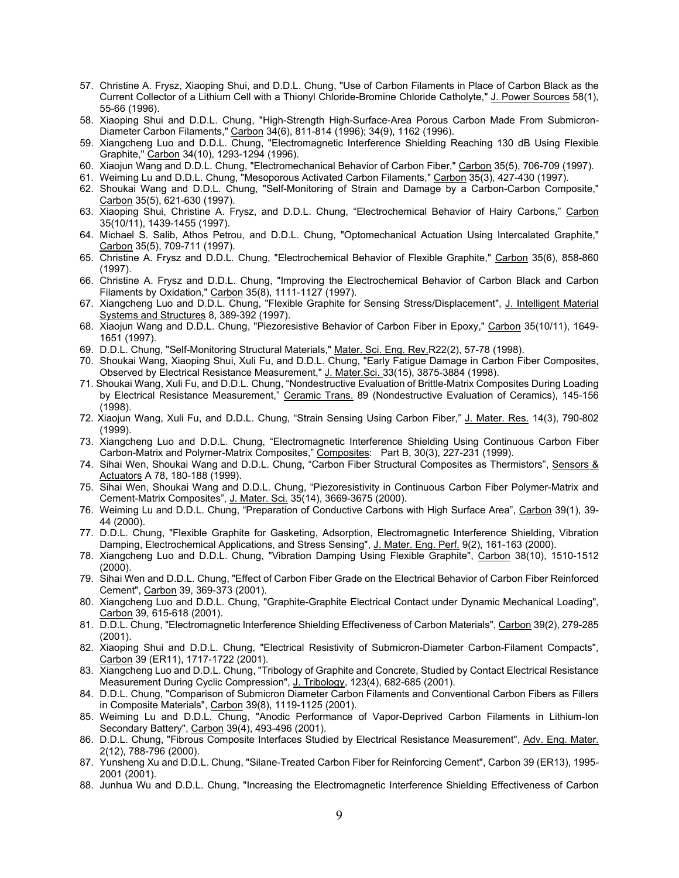- 57. Christine A. Frysz, Xiaoping Shui, and D.D.L. Chung, "Use of Carbon Filaments in Place of Carbon Black as the Current Collector of a Lithium Cell with a Thionyl Chloride-Bromine Chloride Catholyte," J. Power Sources 58(1), 55-66 (1996).
- 58. Xiaoping Shui and D.D.L. Chung, "High-Strength High-Surface-Area Porous Carbon Made From Submicron-Diameter Carbon Filaments," Carbon 34(6), 811-814 (1996); 34(9), 1162 (1996).
- 59. Xiangcheng Luo and D.D.L. Chung, "Electromagnetic Interference Shielding Reaching 130 dB Using Flexible Graphite," Carbon 34(10), 1293-1294 (1996).
- 60. Xiaojun Wang and D.D.L. Chung, "Electromechanical Behavior of Carbon Fiber," Carbon 35(5), 706-709 (1997).
- 61. Weiming Lu and D.D.L. Chung, "Mesoporous Activated Carbon Filaments," Carbon 35(3), 427-430 (1997).
- 62. Shoukai Wang and D.D.L. Chung, "Self-Monitoring of Strain and Damage by a Carbon-Carbon Composite," Carbon 35(5), 621-630 (1997).
- 63. Xiaoping Shui, Christine A. Frysz, and D.D.L. Chung, "Electrochemical Behavior of Hairy Carbons," Carbon 35(10/11), 1439-1455 (1997).
- 64. Michael S. Salib, Athos Petrou, and D.D.L. Chung, "Optomechanical Actuation Using Intercalated Graphite," Carbon 35(5), 709-711 (1997).
- 65. Christine A. Frysz and D.D.L. Chung, "Electrochemical Behavior of Flexible Graphite," Carbon 35(6), 858-860 (1997).
- 66. Christine A. Frysz and D.D.L. Chung, "Improving the Electrochemical Behavior of Carbon Black and Carbon Filaments by Oxidation," Carbon 35(8), 1111-1127 (1997).
- 67. Xiangcheng Luo and D.D.L. Chung, "Flexible Graphite for Sensing Stress/Displacement", J. Intelligent Material Systems and Structures 8, 389-392 (1997).
- 68. Xiaojun Wang and D.D.L. Chung, "Piezoresistive Behavior of Carbon Fiber in Epoxy," Carbon 35(10/11), 1649- 1651 (1997).
- 69. D.D.L. Chung, "Self-Monitoring Structural Materials," Mater. Sci. Eng. Rev.R22(2), 57-78 (1998).
- 70. Shoukai Wang, Xiaoping Shui, Xuli Fu, and D.D.L. Chung, "Early Fatigue Damage in Carbon Fiber Composites, Observed by Electrical Resistance Measurement," J. Mater.Sci. 33(15), 3875-3884 (1998).
- 71. Shoukai Wang, Xuli Fu, and D.D.L. Chung, "Nondestructive Evaluation of Brittle-Matrix Composites During Loading by Electrical Resistance Measurement," Ceramic Trans. 89 (Nondestructive Evaluation of Ceramics), 145-156 (1998).
- 72. Xiaojun Wang, Xuli Fu, and D.D.L. Chung, "Strain Sensing Using Carbon Fiber," J. Mater. Res. 14(3), 790-802 (1999).
- 73. Xiangcheng Luo and D.D.L. Chung, "Electromagnetic Interference Shielding Using Continuous Carbon Fiber Carbon-Matrix and Polymer-Matrix Composites," Composites: Part B, 30(3), 227-231 (1999).
- 74. Sihai Wen, Shoukai Wang and D.D.L. Chung, "Carbon Fiber Structural Composites as Thermistors", Sensors & Actuators A 78, 180-188 (1999).
- 75. Sihai Wen, Shoukai Wang and D.D.L. Chung, "Piezoresistivity in Continuous Carbon Fiber Polymer-Matrix and Cement-Matrix Composites", J. Mater. Sci. 35(14), 3669-3675 (2000).
- 76. Weiming Lu and D.D.L. Chung, "Preparation of Conductive Carbons with High Surface Area", Carbon 39(1), 39- 44 (2000).
- 77. D.D.L. Chung, "Flexible Graphite for Gasketing, Adsorption, Electromagnetic Interference Shielding, Vibration Damping, Electrochemical Applications, and Stress Sensing", J. Mater. Eng. Perf. 9(2), 161-163 (2000).
- 78. Xiangcheng Luo and D.D.L. Chung, "Vibration Damping Using Flexible Graphite", Carbon 38(10), 1510-1512 (2000).
- 79. Sihai Wen and D.D.L. Chung, "Effect of Carbon Fiber Grade on the Electrical Behavior of Carbon Fiber Reinforced Cement", Carbon 39, 369-373 (2001).
- 80. Xiangcheng Luo and D.D.L. Chung, "Graphite-Graphite Electrical Contact under Dynamic Mechanical Loading", Carbon 39, 615-618 (2001).
- 81. D.D.L. Chung, "Electromagnetic Interference Shielding Effectiveness of Carbon Materials", Carbon 39(2), 279-285 (2001).
- 82. Xiaoping Shui and D.D.L. Chung, "Electrical Resistivity of Submicron-Diameter Carbon-Filament Compacts", Carbon 39 (ER11), 1717-1722 (2001).
- 83. Xiangcheng Luo and D.D.L. Chung, "Tribology of Graphite and Concrete, Studied by Contact Electrical Resistance Measurement During Cyclic Compression", J. Tribology, 123(4), 682-685 (2001).
- 84. D.D.L. Chung, "Comparison of Submicron Diameter Carbon Filaments and Conventional Carbon Fibers as Fillers in Composite Materials", Carbon 39(8), 1119-1125 (2001).
- 85. Weiming Lu and D.D.L. Chung, "Anodic Performance of Vapor-Deprived Carbon Filaments in Lithium-Ion Secondary Battery", Carbon 39(4), 493-496 (2001).
- 86. D.D.L. Chung, "Fibrous Composite Interfaces Studied by Electrical Resistance Measurement", Adv. Eng. Mater. 2(12), 788-796 (2000).
- 87. Yunsheng Xu and D.D.L. Chung, "Silane-Treated Carbon Fiber for Reinforcing Cement", Carbon 39 (ER13), 1995-2001 (2001).
- 88. Junhua Wu and D.D.L. Chung, "Increasing the Electromagnetic Interference Shielding Effectiveness of Carbon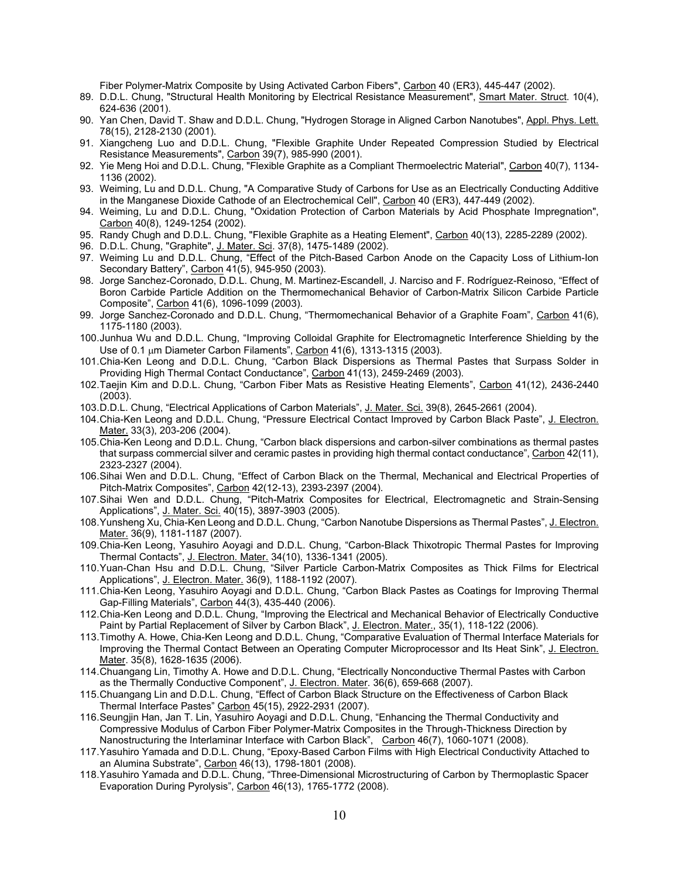Fiber Polymer-Matrix Composite by Using Activated Carbon Fibers", Carbon 40 (ER3), 445-447 (2002).

- 89. D.D.L. Chung, "Structural Health Monitoring by Electrical Resistance Measurement", Smart Mater. Struct. 10(4), 624-636 (2001).
- 90. Yan Chen, David T. Shaw and D.D.L. Chung, "Hydrogen Storage in Aligned Carbon Nanotubes", Appl. Phys. Lett. 78(15), 2128-2130 (2001).
- 91. Xiangcheng Luo and D.D.L. Chung, "Flexible Graphite Under Repeated Compression Studied by Electrical Resistance Measurements", Carbon 39(7), 985-990 (2001).
- 92. Yie Meng Hoi and D.D.L. Chung, "Flexible Graphite as a Compliant Thermoelectric Material", Carbon 40(7), 1134- 1136 (2002).
- 93. Weiming, Lu and D.D.L. Chung, "A Comparative Study of Carbons for Use as an Electrically Conducting Additive in the Manganese Dioxide Cathode of an Electrochemical Cell", Carbon 40 (ER3), 447-449 (2002).
- 94. Weiming, Lu and D.D.L. Chung, "Oxidation Protection of Carbon Materials by Acid Phosphate Impregnation", Carbon 40(8), 1249-1254 (2002).
- 95. Randy Chugh and D.D.L. Chung, "Flexible Graphite as a Heating Element", Carbon 40(13), 2285-2289 (2002).
- 96. D.D.L. Chung, "Graphite", J. Mater. Sci. 37(8), 1475-1489 (2002).
- 97. Weiming Lu and D.D.L. Chung, "Effect of the Pitch-Based Carbon Anode on the Capacity Loss of Lithium-Ion Secondary Battery", Carbon 41(5), 945-950 (2003).
- 98. Jorge Sanchez-Coronado, D.D.L. Chung, M. Martinez-Escandell, J. Narciso and F. Rodríguez-Reinoso, "Effect of Boron Carbide Particle Addition on the Thermomechanical Behavior of Carbon-Matrix Silicon Carbide Particle Composite", Carbon 41(6), 1096-1099 (2003).
- 99. Jorge Sanchez-Coronado and D.D.L. Chung, "Thermomechanical Behavior of a Graphite Foam", Carbon 41(6), 1175-1180 (2003).
- 100.Junhua Wu and D.D.L. Chung, "Improving Colloidal Graphite for Electromagnetic Interference Shielding by the Use of 0.1 µm Diameter Carbon Filaments", Carbon 41(6), 1313-1315 (2003).
- 101.Chia-Ken Leong and D.D.L. Chung, "Carbon Black Dispersions as Thermal Pastes that Surpass Solder in Providing High Thermal Contact Conductance", Carbon 41(13), 2459-2469 (2003).
- 102.Taejin Kim and D.D.L. Chung, "Carbon Fiber Mats as Resistive Heating Elements", Carbon 41(12), 2436-2440 (2003).
- 103.D.D.L. Chung, "Electrical Applications of Carbon Materials", J. Mater. Sci. 39(8), 2645-2661 (2004).
- 104.Chia-Ken Leong and D.D.L. Chung, "Pressure Electrical Contact Improved by Carbon Black Paste", J. Electron. Mater. 33(3), 203-206 (2004).
- 105.Chia-Ken Leong and D.D.L. Chung, "Carbon black dispersions and carbon-silver combinations as thermal pastes that surpass commercial silver and ceramic pastes in providing high thermal contact conductance", Carbon 42(11), 2323-2327 (2004).
- 106.Sihai Wen and D.D.L. Chung, "Effect of Carbon Black on the Thermal, Mechanical and Electrical Properties of Pitch-Matrix Composites", Carbon 42(12-13), 2393-2397 (2004).
- 107.Sihai Wen and D.D.L. Chung, "Pitch-Matrix Composites for Electrical, Electromagnetic and Strain-Sensing Applications", J. Mater. Sci. 40(15), 3897-3903 (2005).
- 108. Yunsheng Xu, Chia-Ken Leong and D.D.L. Chung, "Carbon Nanotube Dispersions as Thermal Pastes", J. Electron. Mater. 36(9), 1181-1187 (2007).
- 109.Chia-Ken Leong, Yasuhiro Aoyagi and D.D.L. Chung, "Carbon-Black Thixotropic Thermal Pastes for Improving Thermal Contacts", J. Electron. Mater. 34(10), 1336-1341 (2005).
- 110.Yuan-Chan Hsu and D.D.L. Chung, "Silver Particle Carbon-Matrix Composites as Thick Films for Electrical Applications", <u>J. Electron. Mater.</u> 36(9), 1188-1192 (2007).
- 111.Chia-Ken Leong, Yasuhiro Aoyagi and D.D.L. Chung, "Carbon Black Pastes as Coatings for Improving Thermal Gap-Filling Materials", Carbon 44(3), 435-440 (2006).
- 112.Chia-Ken Leong and D.D.L. Chung, "Improving the Electrical and Mechanical Behavior of Electrically Conductive Paint by Partial Replacement of Silver by Carbon Black", <u>J. Electron. Mater.</u>, 35(1), 118-122 (2006).
- 113.Timothy A. Howe, Chia-Ken Leong and D.D.L. Chung, "Comparative Evaluation of Thermal Interface Materials for Improving the Thermal Contact Between an Operating Computer Microprocessor and Its Heat Sink", J. Electron. Mater. 35(8), 1628-1635 (2006).
- 114.Chuangang Lin, Timothy A. Howe and D.D.L. Chung, "Electrically Nonconductive Thermal Pastes with Carbon as the Thermally Conductive Component", J. Electron. Mater. 36(6), 659-668 (2007).
- 115.Chuangang Lin and D.D.L. Chung, "Effect of Carbon Black Structure on the Effectiveness of Carbon Black Thermal Interface Pastes" Carbon 45(15), 2922-2931 (2007).
- 116.Seungjin Han, Jan T. Lin, Yasuhiro Aoyagi and D.D.L. Chung, "Enhancing the Thermal Conductivity and Compressive Modulus of Carbon Fiber Polymer-Matrix Composites in the Through-Thickness Direction by Nanostructuring the Interlaminar Interface with Carbon Black", Carbon 46(7), 1060-1071 (2008).
- 117.Yasuhiro Yamada and D.D.L. Chung, "Epoxy-Based Carbon Films with High Electrical Conductivity Attached to an Alumina Substrate", Carbon 46(13), 1798-1801 (2008).
- 118.Yasuhiro Yamada and D.D.L. Chung, "Three-Dimensional Microstructuring of Carbon by Thermoplastic Spacer Evaporation During Pyrolysis", Carbon 46(13), 1765-1772 (2008).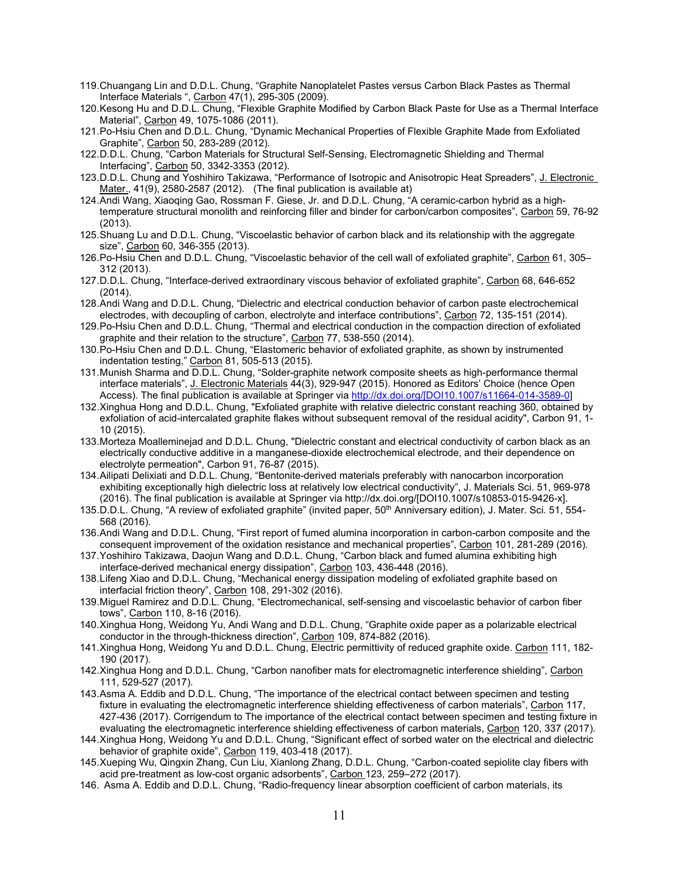- 119.Chuangang Lin and D.D.L. Chung, "Graphite Nanoplatelet Pastes versus Carbon Black Pastes as Thermal Interface Materials ", Carbon 47(1), 295-305 (2009).
- 120.Kesong Hu and D.D.L. Chung, "Flexible Graphite Modified by Carbon Black Paste for Use as a Thermal Interface Material", Carbon 49, 1075-1086 (2011).
- 121.Po-Hsiu Chen and D.D.L. Chung, "Dynamic Mechanical Properties of Flexible Graphite Made from Exfoliated Graphite", Carbon 50, 283-289 (2012).
- 122.D.D.L. Chung, "Carbon Materials for Structural Self-Sensing, Electromagnetic Shielding and Thermal Interfacing", Carbon 50, 3342-3353 (2012).
- 123.D.D.L. Chung and Yoshihiro Takizawa, "Performance of Isotropic and Anisotropic Heat Spreaders", J. Electronic Mater., 41(9), 2580-2587 (2012). (The final publication is available at)
- 124.Andi Wang, Xiaoqing Gao, Rossman F. Giese, Jr. and D.D.L. Chung, "A ceramic-carbon hybrid as a hightemperature structural monolith and reinforcing filler and binder for carbon/carbon composites", Carbon 59, 76-92 (2013).
- 125.Shuang Lu and D.D.L. Chung, "Viscoelastic behavior of carbon black and its relationship with the aggregate size", Carbon 60, 346-355 (2013).
- 126.Po-Hsiu Chen and D.D.L. Chung, "Viscoelastic behavior of the cell wall of exfoliated graphite", Carbon 61, 305– 312 (2013).
- 127.D.D.L. Chung, "Interface-derived extraordinary viscous behavior of exfoliated graphite", Carbon 68, 646-652 (2014).
- 128.Andi Wang and D.D.L. Chung, "Dielectric and electrical conduction behavior of carbon paste electrochemical electrodes, with decoupling of carbon, electrolyte and interface contributions", Carbon 72, 135-151 (2014).
- 129.Po-Hsiu Chen and D.D.L. Chung, "Thermal and electrical conduction in the compaction direction of exfoliated graphite and their relation to the structure", Carbon 77, 538-550 (2014).
- 130.Po-Hsiu Chen and D.D.L. Chung, "Elastomeric behavior of exfoliated graphite, as shown by instrumented indentation testing," Carbon 81, 505-513 (2015).
- 131.Munish Sharma and D.D.L. Chung, "Solder-graphite network composite sheets as high-performance thermal interface materials", J. Electronic Materials 44(3), 929-947 (2015). Honored as Editors' Choice (hence Open Access). The final publication is available at Springer via [http://dx.doi.org/\[DOI10.1007/s11664-014-3589-0\]](http://dx.doi.org/%5bDOI10.1007/s11664-014-3589-0)
- 132.Xinghua Hong and D.D.L. Chung, "Exfoliated graphite with relative dielectric constant reaching 360, obtained by exfoliation of acid-intercalated graphite flakes without subsequent removal of the residual acidity", Carbon 91, 1- 10 (2015).
- 133.Morteza Moalleminejad and D.D.L. Chung, "Dielectric constant and electrical conductivity of carbon black as an electrically conductive additive in a manganese-dioxide electrochemical electrode, and their dependence on electrolyte permeation", Carbon 91, 76-87 (2015).
- 134.Ailipati Delixiati and D.D.L. Chung, "Bentonite-derived materials preferably with nanocarbon incorporation exhibiting exceptionally high dielectric loss at relatively low electrical conductivity", J. Materials Sci. 51, 969-978 (2016). The final publication is available at Springer via http://dx.doi.org/[DOI10.1007/s10853-015-9426-x].
- 135.D.D.L. Chung, "A review of exfoliated graphite" (invited paper, 50th Anniversary edition), J. Mater. Sci. 51, 554- 568 (2016).
- 136.Andi Wang and D.D.L. Chung, "First report of fumed alumina incorporation in carbon-carbon composite and the consequent improvement of the oxidation resistance and mechanical properties", Carbon 101, 281-289 (2016).
- 137.Yoshihiro Takizawa, Daojun Wang and D.D.L. Chung, "Carbon black and fumed alumina exhibiting high interface-derived mechanical energy dissipation", Carbon 103, 436-448 (2016).
- 138. Lifeng Xiao and D.D.L. Chung, "Mechanical energy dissipation modeling of exfoliated graphite based on interfacial friction theory", Carbon 108, 291-302 (2016).
- 139.Miguel Ramirez and D.D.L. Chung, "Electromechanical, self-sensing and viscoelastic behavior of carbon fiber tows", Carbon 110, 8-16 (2016).
- 140.Xinghua Hong, Weidong Yu, Andi Wang and D.D.L. Chung, "Graphite oxide paper as a polarizable electrical conductor in the through-thickness direction", Carbon 109, 874-882 (2016).
- 141.Xinghua Hong, Weidong Yu and D.D.L. Chung, Electric permittivity of reduced graphite oxide. Carbon 111, 182- 190 (2017).
- 142.Xinghua Hong and D.D.L. Chung, "Carbon nanofiber mats for electromagnetic interference shielding", Carbon 111, 529-527 (2017).
- 143.Asma A. Eddib and D.D.L. Chung, "The importance of the electrical contact between specimen and testing fixture in evaluating the electromagnetic interference shielding effectiveness of carbon materials", Carbon 117, 427-436 (2017). Corrigendum to The importance of the electrical contact between specimen and testing fixture in evaluating the electromagnetic interference shielding effectiveness of carbon materials, Carbon 120, 337 (2017).
- 144.Xinghua Hong, Weidong Yu and D.D.L. Chung, "Significant effect of sorbed water on the electrical and dielectric behavior of graphite oxide", Carbon 119, 403-418 (2017).
- 145.Xueping Wu, Qingxin Zhang, Cun Liu, Xianlong Zhang, D.D.L. Chung, "Carbon-coated sepiolite clay fibers with acid pre-treatment as low-cost organic adsorbents", Carbon 123, 259–272 (2017).
- 146. Asma A. Eddib and D.D.L. Chung, "Radio-frequency linear absorption coefficient of carbon materials, its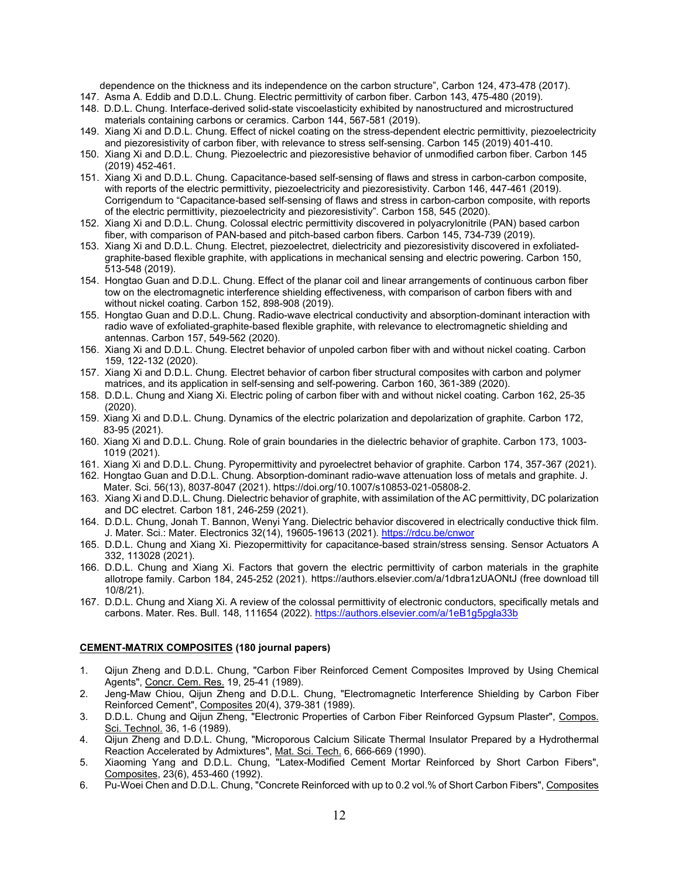dependence on the thickness and its independence on the carbon structure", Carbon 124, 473-478 (2017).

- 147. Asma A. Eddib and D.D.L. Chung. Electric permittivity of carbon fiber. Carbon 143, 475-480 (2019).
- 148. D.D.L. Chung. Interface-derived solid-state viscoelasticity exhibited by nanostructured and microstructured materials containing carbons or ceramics. Carbon 144, 567-581 (2019).
- 149. Xiang Xi and D.D.L. Chung. Effect of nickel coating on the stress-dependent electric permittivity, piezoelectricity and piezoresistivity of carbon fiber, with relevance to stress self-sensing. Carbon 145 (2019) 401-410.
- 150. Xiang Xi and D.D.L. Chung. Piezoelectric and piezoresistive behavior of unmodified carbon fiber. Carbon 145 (2019) 452-461.
- 151. Xiang Xi and D.D.L. Chung. Capacitance-based self-sensing of flaws and stress in carbon-carbon composite, with reports of the electric permittivity, piezoelectricity and piezoresistivity. Carbon 146, 447-461 (2019). Corrigendum to "Capacitance-based self-sensing of flaws and stress in carbon-carbon composite, with reports of the electric permittivity, piezoelectricity and piezoresistivity". Carbon 158, 545 (2020).
- 152. Xiang Xi and D.D.L. Chung. Colossal electric permittivity discovered in polyacrylonitrile (PAN) based carbon fiber, with comparison of PAN-based and pitch-based carbon fibers. Carbon 145, 734-739 (2019).
- 153. Xiang Xi and D.D.L. Chung. Electret, piezoelectret, dielectricity and piezoresistivity discovered in exfoliatedgraphite-based flexible graphite, with applications in mechanical sensing and electric powering. Carbon 150, 513-548 (2019).
- 154. Hongtao Guan and D.D.L. Chung. Effect of the planar coil and linear arrangements of continuous carbon fiber tow on the electromagnetic interference shielding effectiveness, with comparison of carbon fibers with and without nickel coating. Carbon 152, 898-908 (2019).
- 155. Hongtao Guan and D.D.L. Chung. Radio-wave electrical conductivity and absorption-dominant interaction with radio wave of exfoliated-graphite-based flexible graphite, with relevance to electromagnetic shielding and antennas. Carbon 157, 549-562 (2020).
- 156. Xiang Xi and D.D.L. Chung. Electret behavior of unpoled carbon fiber with and without nickel coating. Carbon 159, 122-132 (2020).
- 157. Xiang Xi and D.D.L. Chung. Electret behavior of carbon fiber structural composites with carbon and polymer matrices, and its application in self-sensing and self-powering. Carbon 160, 361-389 (2020).
- 158. D.D.L. Chung and Xiang Xi. Electric poling of carbon fiber with and without nickel coating. Carbon 162, 25-35 (2020).
- 159. Xiang Xi and D.D.L. Chung. Dynamics of the electric polarization and depolarization of graphite. Carbon 172, 83-95 (2021).
- 160. Xiang Xi and D.D.L. Chung. Role of grain boundaries in the dielectric behavior of graphite. Carbon 173, 1003- 1019 (2021).
- 161. Xiang Xi and D.D.L. Chung. Pyropermittivity and pyroelectret behavior of graphite. Carbon 174, 357-367 (2021).
- 162. Hongtao Guan and D.D.L. Chung. Absorption-dominant radio-wave attenuation loss of metals and graphite. J. Mater. Sci. 56(13), 8037-8047 (2021). https://doi.org/10.1007/s10853-021-05808-2.
- 163. Xiang Xi and D.D.L. Chung. Dielectric behavior of graphite, with assimilation of the AC permittivity, DC polarization and DC electret. Carbon 181, 246-259 (2021).
- 164. D.D.L. Chung, Jonah T. Bannon, Wenyi Yang. Dielectric behavior discovered in electrically conductive thick film. J. Mater. Sci.: Mater. Electronics 32(14), 19605-19613 (2021).<https://rdcu.be/cnwor>
- 165. D.D.L. Chung and Xiang Xi. Piezopermittivity for capacitance-based strain/stress sensing. Sensor Actuators A 332, 113028 (2021).
- 166. D.D.L. Chung and Xiang Xi. Factors that govern the electric permittivity of carbon materials in the graphite allotrope family. Carbon 184, 245-252 (2021). https://authors.elsevier.com/a/1dbra1zUAONtJ (free download till 10/8/21).
- 167. D.D.L. Chung and Xiang Xi. A review of the colossal permittivity of electronic conductors, specifically metals and carbons. Mater. Res. Bull. 148, 111654 (2022). <https://authors.elsevier.com/a/1eB1g5pgla33b>

# **CEMENT-MATRIX COMPOSITES (180 journal papers)**

- 1. Qijun Zheng and D.D.L. Chung, "Carbon Fiber Reinforced Cement Composites Improved by Using Chemical Agents", Concr. Cem. Res. 19, 25-41 (1989).
- 2. Jeng-Maw Chiou, Qijun Zheng and D.D.L. Chung, "Electromagnetic Interference Shielding by Carbon Fiber Reinforced Cement", Composites 20(4), 379-381 (1989).
- 3. D.D.L. Chung and Qijun Zheng, "Electronic Properties of Carbon Fiber Reinforced Gypsum Plaster", Compos. Sci. Technol. 36, 1-6 (1989).
- 4. Qijun Zheng and D.D.L. Chung, "Microporous Calcium Silicate Thermal Insulator Prepared by a Hydrothermal Reaction Accelerated by Admixtures", Mat. Sci. Tech. 6, 666-669 (1990).
- 5. Xiaoming Yang and D.D.L. Chung, "Latex-Modified Cement Mortar Reinforced by Short Carbon Fibers", Composites, 23(6), 453-460 (1992).
- 6. Pu-Woei Chen and D.D.L. Chung, "Concrete Reinforced with up to 0.2 vol.% of Short Carbon Fibers", Composites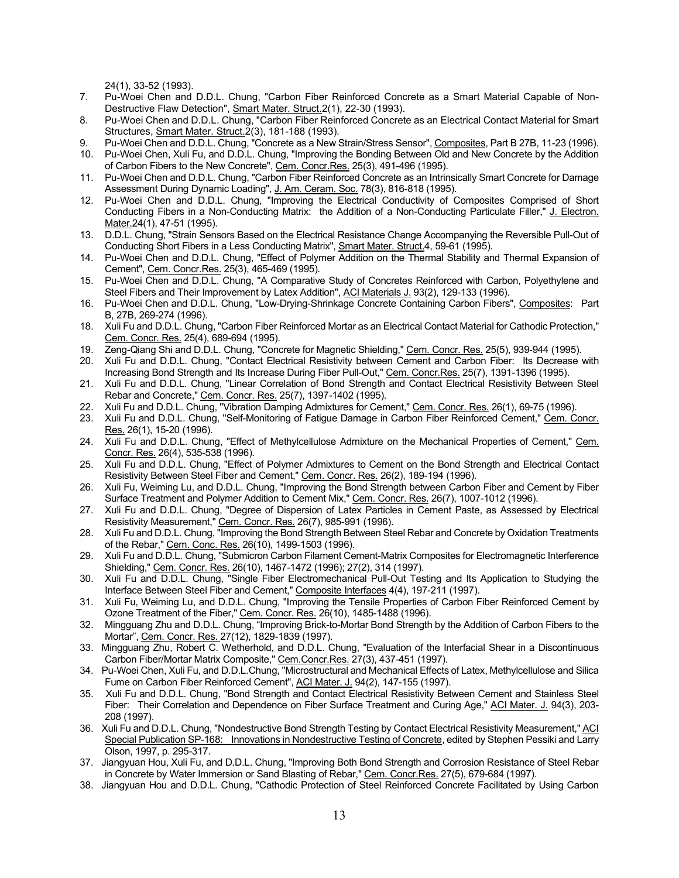24(1), 33-52 (1993).

- 7. Pu-Woei Chen and D.D.L. Chung, "Carbon Fiber Reinforced Concrete as a Smart Material Capable of Non-Destructive Flaw Detection", Smart Mater. Struct.2(1), 22-30 (1993).
- 8. Pu-Woei Chen and D.D.L. Chung, "Carbon Fiber Reinforced Concrete as an Electrical Contact Material for Smart Structures, Smart Mater. Struct.2(3), 181-188 (1993).
- 9. Pu-Woei Chen and D.D.L. Chung, "Concrete as a New Strain/Stress Sensor", Composites, Part B 27B, 11-23 (1996).
- 10. Pu-Woei Chen, Xuli Fu, and D.D.L. Chung, "Improving the Bonding Between Old and New Concrete by the Addition of Carbon Fibers to the New Concrete", Cem. Concr.Res. 25(3), 491-496 (1995).
- 11. Pu-Woei Chen and D.D.L. Chung, "Carbon Fiber Reinforced Concrete as an Intrinsically Smart Concrete for Damage Assessment During Dynamic Loading", J. Am. Ceram. Soc. 78(3), 816-818 (1995).
- 12. Pu-Woei Chen and D.D.L. Chung, "Improving the Electrical Conductivity of Composites Comprised of Short Conducting Fibers in a Non-Conducting Matrix: the Addition of a Non-Conducting Particulate Filler," J. Electron. Mater.24(1), 47-51 (1995).
- 13. D.D.L. Chung, "Strain Sensors Based on the Electrical Resistance Change Accompanying the Reversible Pull-Out of Conducting Short Fibers in a Less Conducting Matrix", Smart Mater. Struct.4, 59-61 (1995).
- 14. Pu-Woei Chen and D.D.L. Chung, "Effect of Polymer Addition on the Thermal Stability and Thermal Expansion of Cement", Cem. Concr.Res. 25(3), 465-469 (1995).
- 15. Pu-Woei Chen and D.D.L. Chung, "A Comparative Study of Concretes Reinforced with Carbon, Polyethylene and Steel Fibers and Their Improvement by Latex Addition", ACI Materials J. 93(2), 129-133 (1996).
- 16. Pu-Woei Chen and D.D.L. Chung, "Low-Drying-Shrinkage Concrete Containing Carbon Fibers", Composites: Part B, 27B, 269-274 (1996).
- 18. Xuli Fu and D.D.L. Chung, "Carbon Fiber Reinforced Mortar as an Electrical Contact Material for Cathodic Protection," Cem. Concr. Res. 25(4), 689-694 (1995).
- 19. Zeng-Qiang Shi and D.D.L. Chung, "Concrete for Magnetic Shielding," Cem. Concr. Res. 25(5), 939-944 (1995).
- 20. Xuli Fu and D.D.L. Chung, "Contact Electrical Resistivity between Cement and Carbon Fiber: Its Decrease with Increasing Bond Strength and Its Increase During Fiber Pull-Out," Cem. Concr.Res. 25(7), 1391-1396 (1995).
- 21. Xuli Fu and D.D.L. Chung, "Linear Correlation of Bond Strength and Contact Electrical Resistivity Between Steel Rebar and Concrete," Cem. Concr. Res. 25(7), 1397-1402 (1995).
- 22. Xuli Fu and D.D.L. Chung, "Vibration Damping Admixtures for Cement," Cem. Concr. Res. 26(1), 69-75 (1996).
- 23. Xuli Fu and D.D.L. Chung, "Self-Monitoring of Fatigue Damage in Carbon Fiber Reinforced Cement," Cem. Concr. Res. 26(1), 15-20 (1996).
- 24. Xuli Fu and D.D.L. Chung, "Effect of Methylcellulose Admixture on the Mechanical Properties of Cement," Cem. Concr. Res. 26(4), 535-538 (1996).
- 25. Xuli Fu and D.D.L. Chung, "Effect of Polymer Admixtures to Cement on the Bond Strength and Electrical Contact Resistivity Between Steel Fiber and Cement," Cem. Concr. Res. 26(2), 189-194 (1996).
- 26. Xuli Fu, Weiming Lu, and D.D.L. Chung, "Improving the Bond Strength between Carbon Fiber and Cement by Fiber Surface Treatment and Polymer Addition to Cement Mix," Cem. Concr. Res. 26(7), 1007-1012 (1996).
- 27. Xuli Fu and D.D.L. Chung, "Degree of Dispersion of Latex Particles in Cement Paste, as Assessed by Electrical Resistivity Measurement," <u>Cem. Concr. Res.</u> 26(7), 985-991 (1996).
- 28. Xuli Fu and D.D.L. Chung, "Improving the Bond Strength Between Steel Rebar and Concrete by Oxidation Treatments of the Rebar," Cem. Conc. Res. 26(10), 1499-1503 (1996).
- 29. Xuli Fu and D.D.L. Chung, "Submicron Carbon Filament Cement-Matrix Composites for Electromagnetic Interference Shielding," Cem. Concr. Res. 26(10), 1467-1472 (1996); 27(2), 314 (1997).
- 30. Xuli Fu and D.D.L. Chung, "Single Fiber Electromechanical Pull-Out Testing and Its Application to Studying the Interface Between Steel Fiber and Cement," Composite Interfaces 4(4), 197-211 (1997).
- 31. Xuli Fu, Weiming Lu, and D.D.L. Chung, "Improving the Tensile Properties of Carbon Fiber Reinforced Cement by Ozone Treatment of the Fiber," Cem. Concr. Res. 26(10), 1485-1488 (1996).
- 32. Mingguang Zhu and D.D.L. Chung, "Improving Brick-to-Mortar Bond Strength by the Addition of Carbon Fibers to the Mortar", Cem. Concr. Res. 27(12), 1829-1839 (1997).
- 33. Mingguang Zhu, Robert C. Wetherhold, and D.D.L. Chung, "Evaluation of the Interfacial Shear in a Discontinuous Carbon Fiber/Mortar Matrix Composite," Cem.Concr.Res. 27(3), 437-451 (1997).
- 34. Pu-Woei Chen, Xuli Fu, and D.D.L.Chung, "Microstructural and Mechanical Effects of Latex, Methylcellulose and Silica Fume on Carbon Fiber Reinforced Cement", ACI Mater. J. 94(2), 147-155 (1997).
- 35. Xuli Fu and D.D.L. Chung, "Bond Strength and Contact Electrical Resistivity Between Cement and Stainless Steel Fiber: Their Correlation and Dependence on Fiber Surface Treatment and Curing Age," ACI Mater. J. 94(3), 203- 208 (1997).
- 36. Xuli Fu and D.D.L. Chung, "Nondestructive Bond Strength Testing by Contact Electrical Resistivity Measurement," ACI Special Publication SP-168: Innovations in Nondestructive Testing of Concrete, edited by Stephen Pessiki and Larry Olson, 1997, p. 295-317.
- 37. Jiangyuan Hou, Xuli Fu, and D.D.L. Chung, "Improving Both Bond Strength and Corrosion Resistance of Steel Rebar in Concrete by Water Immersion or Sand Blasting of Rebar," Cem. Concr.Res. 27(5), 679-684 (1997).
- 38. Jiangyuan Hou and D.D.L. Chung, "Cathodic Protection of Steel Reinforced Concrete Facilitated by Using Carbon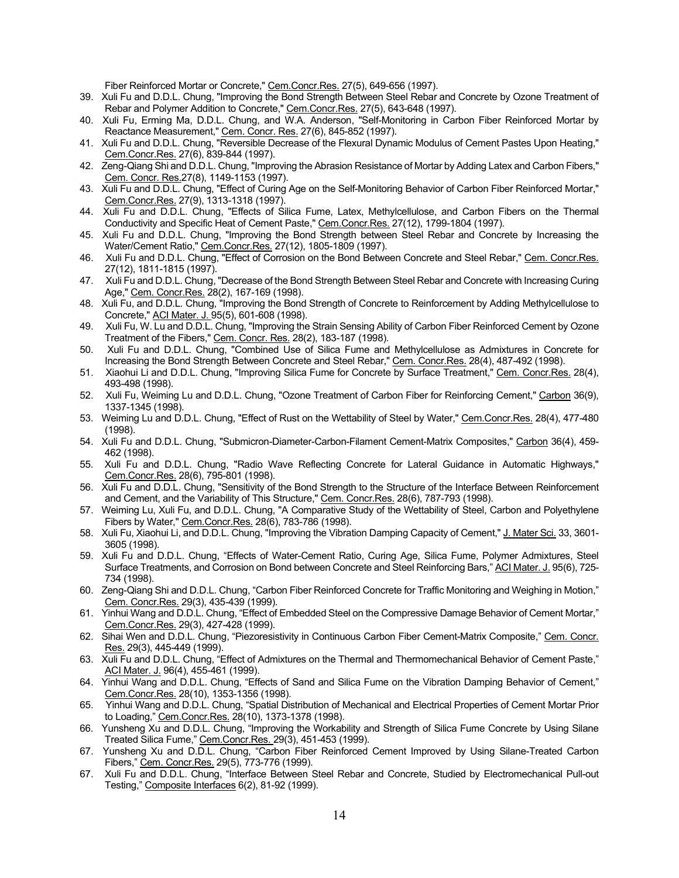Fiber Reinforced Mortar or Concrete," Cem.Concr.Res. 27(5), 649-656 (1997).

- 39. Xuli Fu and D.D.L. Chung, "Improving the Bond Strength Between Steel Rebar and Concrete by Ozone Treatment of Rebar and Polymer Addition to Concrete," Cem.Concr.Res. 27(5), 643-648 (1997).
- 40. Xuli Fu, Erming Ma, D.D.L. Chung, and W.A. Anderson, "Self-Monitoring in Carbon Fiber Reinforced Mortar by Reactance Measurement," Cem. Concr. Res. 27(6), 845-852 (1997).
- 41. Xuli Fu and D.D.L. Chung, "Reversible Decrease of the Flexural Dynamic Modulus of Cement Pastes Upon Heating," Cem.Concr.Res. 27(6), 839-844 (1997).
- 42. Zeng-Qiang Shi and D.D.L. Chung, "Improving the Abrasion Resistance of Mortar by Adding Latex and Carbon Fibers," Cem. Concr. Res.27(8), 1149-1153 (1997).
- 43. Xuli Fu and D.D.L. Chung, "Effect of Curing Age on the Self-Monitoring Behavior of Carbon Fiber Reinforced Mortar," Cem.Concr.Res. 27(9), 1313-1318 (1997).
- 44. Xuli Fu and D.D.L. Chung, "Effects of Silica Fume, Latex, Methylcellulose, and Carbon Fibers on the Thermal Conductivity and Specific Heat of Cement Paste," Cem.Concr.Res. 27(12), 1799-1804 (1997).
- 45. Xuli Fu and D.D.L. Chung, "Improving the Bond Strength between Steel Rebar and Concrete by Increasing the Water/Cement Ratio," Cem.Concr.Res. 27(12), 1805-1809 (1997).
- 46. Xuli Fu and D.D.L. Chung, "Effect of Corrosion on the Bond Between Concrete and Steel Rebar," Cem. Concr.Res. 27(12), 1811-1815 (1997).
- 47. Xuli Fu and D.D.L. Chung, "Decrease of the Bond Strength Between Steel Rebar and Concrete with Increasing Curing Age," Cem. Concr.Res. 28(2), 167-169 (1998).
- 48. Xuli Fu, and D.D.L. Chung, "Improving the Bond Strength of Concrete to Reinforcement by Adding Methylcellulose to Concrete," ACI Mater. J. 95(5), 601-608 (1998).
- 49. Xuli Fu, W. Lu and D.D.L. Chung, "Improving the Strain Sensing Ability of Carbon Fiber Reinforced Cement by Ozone Treatment of the Fibers," Cem. Concr. Res. 28(2), 183-187 (1998).
- 50. Xuli Fu and D.D.L. Chung, "Combined Use of Silica Fume and Methylcellulose as Admixtures in Concrete for Increasing the Bond Strength Between Concrete and Steel Rebar," Cem. Concr.Res. 28(4), 487-492 (1998).
- 51. Xiaohui Li and D.D.L. Chung, "Improving Silica Fume for Concrete by Surface Treatment," Cem. Concr.Res. 28(4), 493-498 (1998).
- 52. Xuli Fu, Weiming Lu and D.D.L. Chung, "Ozone Treatment of Carbon Fiber for Reinforcing Cement," Carbon 36(9), 1337-1345 (1998).
- 53. Weiming Lu and D.D.L. Chung, "Effect of Rust on the Wettability of Steel by Water," Cem.Concr.Res. 28(4), 477-480 (1998).
- 54. Xuli Fu and D.D.L. Chung, "Submicron-Diameter-Carbon-Filament Cement-Matrix Composites," Carbon 36(4), 459- 462 (1998).
- 55. Xuli Fu and D.D.L. Chung, "Radio Wave Reflecting Concrete for Lateral Guidance in Automatic Highways," Cem.Concr.Res. 28(6), 795-801 (1998).
- 56. Xuli Fu and D.D.L. Chung, "Sensitivity of the Bond Strength to the Structure of the Interface Between Reinforcement and Cement, and the Variability of This Structure," Cem. Concr.Res. 28(6), 787-793 (1998).
- 57. Weiming Lu, Xuli Fu, and D.D.L. Chung, "A Comparative Study of the Wettability of Steel, Carbon and Polyethylene Fibers by Water," Cem.Concr.Res. 28(6), 783-786 (1998).
- 58. Xuli Fu, Xiaohui Li, and D.D.L. Chung, "Improving the Vibration Damping Capacity of Cement," J. Mater Sci. 33, 3601- 3605 (1998).
- 59. Xuli Fu and D.D.L. Chung, "Effects of Water-Cement Ratio, Curing Age, Silica Fume, Polymer Admixtures, Steel Surface Treatments, and Corrosion on Bond between Concrete and Steel Reinforcing Bars," ACI Mater. J. 95(6), 725- 734 (1998).
- 60. Zeng-Qiang Shi and D.D.L. Chung, "Carbon Fiber Reinforced Concrete for Traffic Monitoring and Weighing in Motion," Cem. Concr.Res. 29(3), 435-439 (1999).
- 61. Yinhui Wang and D.D.L. Chung, "Effect of Embedded Steel on the Compressive Damage Behavior of Cement Mortar," Cem.Concr.Res. 29(3), 427-428 (1999).
- 62. Sihai Wen and D.D.L. Chung, "Piezoresistivity in Continuous Carbon Fiber Cement-Matrix Composite," Cem. Concr. Res. 29(3), 445-449 (1999).
- 63. Xuli Fu and D.D.L. Chung, "Effect of Admixtures on the Thermal and Thermomechanical Behavior of Cement Paste," ACI Mater. J. 96(4), 455-461 (1999).
- 64. Yinhui Wang and D.D.L. Chung, "Effects of Sand and Silica Fume on the Vibration Damping Behavior of Cement," Cem.Concr.Res. 28(10), 1353-1356 (1998).
- 65. Yinhui Wang and D.D.L. Chung, "Spatial Distribution of Mechanical and Electrical Properties of Cement Mortar Prior to Loading," Cem.Concr.Res. 28(10), 1373-1378 (1998).
- 66. Yunsheng Xu and D.D.L. Chung, "Improving the Workability and Strength of Silica Fume Concrete by Using Silane Treated Silica Fume," Cem.Concr.Res. 29(3), 451-453 (1999).
- 67. Yunsheng Xu and D.D.L. Chung, "Carbon Fiber Reinforced Cement Improved by Using Silane-Treated Carbon Fibers," Cem. Concr.Res. 29(5), 773-776 (1999).
- 67. Xuli Fu and D.D.L. Chung, "Interface Between Steel Rebar and Concrete, Studied by Electromechanical Pull-out Testing," Composite Interfaces 6(2), 81-92 (1999).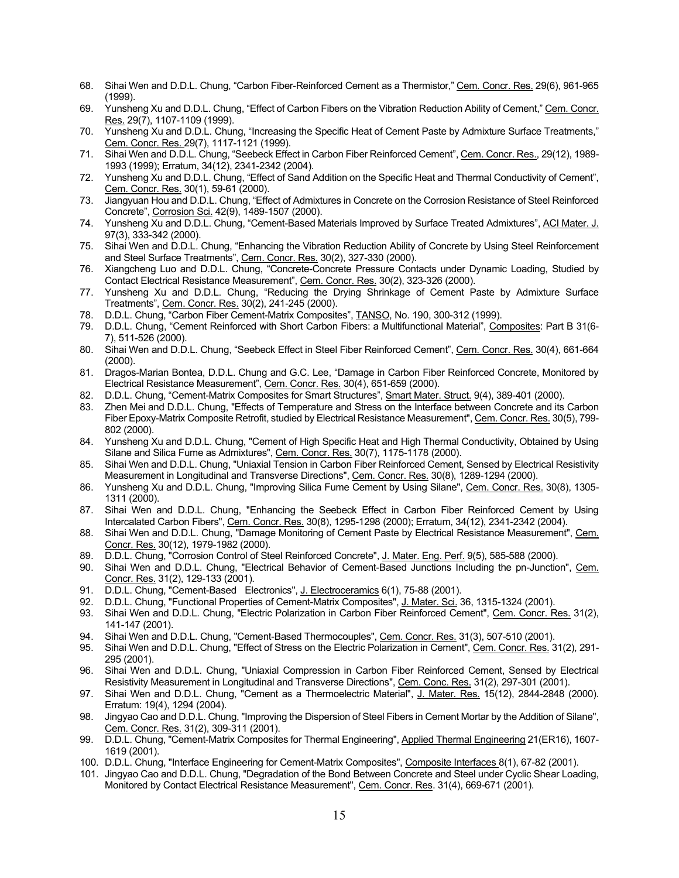- 68. Sihai Wen and D.D.L. Chung, "Carbon Fiber-Reinforced Cement as a Thermistor," Cem. Concr. Res. 29(6), 961-965 (1999).
- 69. Yunsheng Xu and D.D.L. Chung, "Effect of Carbon Fibers on the Vibration Reduction Ability of Cement," Cem. Concr. Res. 29(7), 1107-1109 (1999).
- 70. Yunsheng Xu and D.D.L. Chung, "Increasing the Specific Heat of Cement Paste by Admixture Surface Treatments," Cem. Concr. Res. 29(7), 1117-1121 (1999).
- 71. Sihai Wen and D.D.L. Chung, "Seebeck Effect in Carbon Fiber Reinforced Cement", Cem. Concr. Res., 29(12), 1989- 1993 (1999); Erratum, 34(12), 2341-2342 (2004).
- 72. Yunsheng Xu and D.D.L. Chung, "Effect of Sand Addition on the Specific Heat and Thermal Conductivity of Cement", Cem. Concr. Res. 30(1), 59-61 (2000).
- 73. Jiangyuan Hou and D.D.L. Chung, "Effect of Admixtures in Concrete on the Corrosion Resistance of Steel Reinforced Concrete", Corrosion Sci. 42(9), 1489-1507 (2000).
- 74. Yunsheng Xu and D.D.L. Chung, "Cement-Based Materials Improved by Surface Treated Admixtures", ACI Mater. J. 97(3), 333-342 (2000).
- 75. Sihai Wen and D.D.L. Chung, "Enhancing the Vibration Reduction Ability of Concrete by Using Steel Reinforcement and Steel Surface Treatments", Cem. Concr. Res. 30(2), 327-330 (2000).
- 76. Xiangcheng Luo and D.D.L. Chung, "Concrete-Concrete Pressure Contacts under Dynamic Loading, Studied by Contact Electrical Resistance Measurement", Cem. Concr. Res. 30(2), 323-326 (2000).
- 77. Yunsheng Xu and D.D.L. Chung, "Reducing the Drying Shrinkage of Cement Paste by Admixture Surface Treatments", Cem. Concr. Res. 30(2), 241-245 (2000).
- 78. D.D.L. Chung, "Carbon Fiber Cement-Matrix Composites", TANSO, No. 190, 300-312 (1999).
- 79. D.D.L. Chung, "Cement Reinforced with Short Carbon Fibers: a Multifunctional Material", Composites: Part B 31(6- 7), 511-526 (2000).
- 80. Sihai Wen and D.D.L. Chung, "Seebeck Effect in Steel Fiber Reinforced Cement", Cem. Concr. Res. 30(4), 661-664 (2000).
- 81. Dragos-Marian Bontea, D.D.L. Chung and G.C. Lee, "Damage in Carbon Fiber Reinforced Concrete, Monitored by Electrical Resistance Measurement", Cem. Concr. Res. 30(4), 651-659 (2000).
- 82. D.D.L. Chung, "Cement-Matrix Composites for Smart Structures", Smart Mater. Struct. 9(4), 389-401 (2000).
- 83. Zhen Mei and D.D.L. Chung, "Effects of Temperature and Stress on the Interface between Concrete and its Carbon Fiber Epoxy-Matrix Composite Retrofit, studied by Electrical Resistance Measurement", Cem. Concr. Res. 30(5), 799- 802 (2000).
- 84. Yunsheng Xu and D.D.L. Chung, "Cement of High Specific Heat and High Thermal Conductivity, Obtained by Using Silane and Silica Fume as Admixtures", Cem. Concr. Res. 30(7), 1175-1178 (2000).
- 85. Sihai Wen and D.D.L. Chung, "Uniaxial Tension in Carbon Fiber Reinforced Cement, Sensed by Electrical Resistivity Measurement in Longitudinal and Transverse Directions", Cem. Concr. Res. 30(8), 1289-1294 (2000).
- 86. Yunsheng Xu and D.D.L. Chung, "Improving Silica Fume Cement by Using Silane", Cem. Concr. Res. 30(8), 1305-1311 (2000).
- 87. Sihai Wen and D.D.L. Chung, "Enhancing the Seebeck Effect in Carbon Fiber Reinforced Cement by Using Intercalated Carbon Fibers", Cem. Concr. Res. 30(8), 1295-1298 (2000); Erratum, 34(12), 2341-2342 (2004).
- 88. Sihai Wen and D.D.L. Chung, "Damage Monitoring of Cement Paste by Electrical Resistance Measurement", Cem. Concr. Res. 30(12), 1979-1982 (2000).
- 89. D.D.L. Chung, "Corrosion Control of Steel Reinforced Concrete", J. Mater. Eng. Perf. 9(5), 585-588 (2000).
- 90. Sihai Wen and D.D.L. Chung, "Electrical Behavior of Cement-Based Junctions Including the pn-Junction", <u>Cem.</u> Concr. Res. 31(2), 129-133 (2001).
- 91. D.D.L. Chung, "Cement-Based Electronics", J. Electroceramics 6(1), 75-88 (2001).
- 92. D.D.L. Chung, "Functional Properties of Cement-Matrix Composites", J. Mater. Sci. 36, 1315-1324 (2001).
- 93. Sihai Wen and D.D.L. Chung, "Electric Polarization in Carbon Fiber Reinforced Cement", Cem. Concr. Res. 31(2), 141-147 (2001).
- 94. Sihai Wen and D.D.L. Chung, "Cement-Based Thermocouples", Cem. Concr. Res. 31(3), 507-510 (2001).<br>95. Sihai Wen and D.D.L. Chung. "Effect of Stress on the Electric Polarization in Cement". Cem. Concr. Res. 3
- 95. Sihai Wen and D.D.L. Chung, "Effect of Stress on the Electric Polarization in Cement", Cem. Concr. Res. 31(2), 291- 295 (2001).
- 96. Sihai Wen and D.D.L. Chung, "Uniaxial Compression in Carbon Fiber Reinforced Cement, Sensed by Electrical Resistivity Measurement in Longitudinal and Transverse Directions", Cem. Conc. Res. 31(2), 297-301 (2001).
- 97. Sihai Wen and D.D.L. Chung, "Cement as a Thermoelectric Material", J. Mater. Res. 15(12), 2844-2848 (2000). Erratum: 19(4), 1294 (2004).
- 98. Jingyao Cao and D.D.L. Chung, "Improving the Dispersion of Steel Fibers in Cement Mortar by the Addition of Silane", Cem. Concr. Res. 31(2), 309-311 (2001).
- 99. D.D.L. Chung, "Cement-Matrix Composites for Thermal Engineering", Applied Thermal Engineering 21(ER16), 1607- 1619 (2001).
- 100. D.D.L. Chung, "Interface Engineering for Cement-Matrix Composites", Composite Interfaces 8(1), 67-82 (2001).
- 101. Jingyao Cao and D.D.L. Chung, "Degradation of the Bond Between Concrete and Steel under Cyclic Shear Loading, Monitored by Contact Electrical Resistance Measurement", Cem. Concr. Res. 31(4), 669-671 (2001).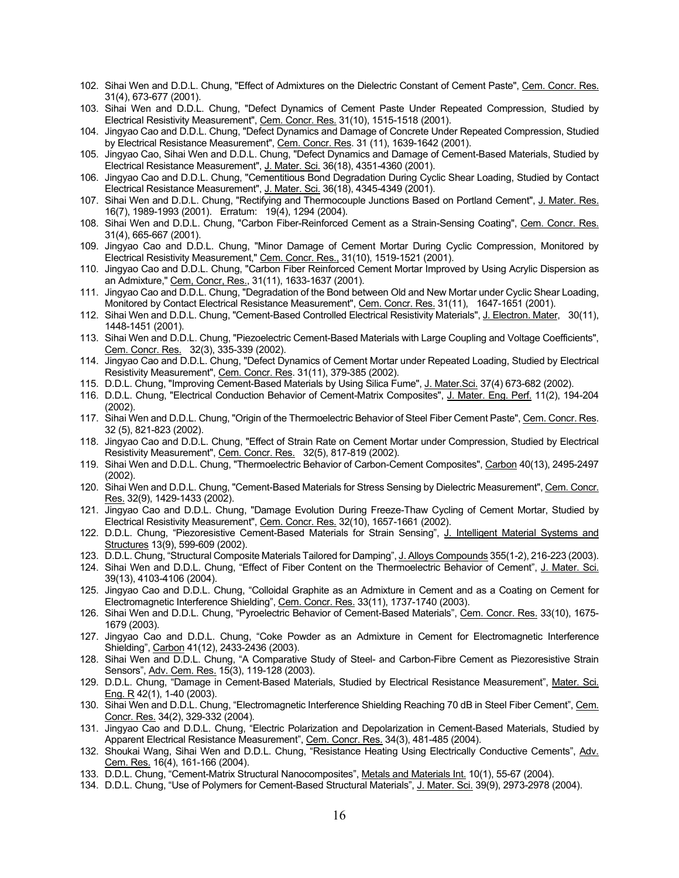- 102. Sihai Wen and D.D.L. Chung, "Effect of Admixtures on the Dielectric Constant of Cement Paste", Cem. Concr. Res. 31(4), 673-677 (2001).
- 103. Sihai Wen and D.D.L. Chung, "Defect Dynamics of Cement Paste Under Repeated Compression, Studied by Electrical Resistivity Measurement", Cem. Concr. Res. 31(10), 1515-1518 (2001).
- 104. Jingyao Cao and D.D.L. Chung, "Defect Dynamics and Damage of Concrete Under Repeated Compression, Studied by Electrical Resistance Measurement", Cem. Concr. Res. 31 (11), 1639-1642 (2001).
- 105. Jingyao Cao, Sihai Wen and D.D.L. Chung, "Defect Dynamics and Damage of Cement-Based Materials, Studied by Electrical Resistance Measurement", J. Mater. Sci. 36(18), 4351-4360 (2001).
- 106. Jingyao Cao and D.D.L. Chung, "Cementitious Bond Degradation During Cyclic Shear Loading, Studied by Contact Electrical Resistance Measurement", J. Mater. Sci. 36(18), 4345-4349 (2001).
- 107. Sihai Wen and D.D.L. Chung, "Rectifying and Thermocouple Junctions Based on Portland Cement", J. Mater. Res. 16(7), 1989-1993 (2001). Erratum: 19(4), 1294 (2004).
- 108. Sihai Wen and D.D.L. Chung, "Carbon Fiber-Reinforced Cement as a Strain-Sensing Coating", Cem. Concr. Res. 31(4), 665-667 (2001).
- 109. Jingyao Cao and D.D.L. Chung, "Minor Damage of Cement Mortar During Cyclic Compression, Monitored by Electrical Resistivity Measurement," Cem. Concr. Res., 31(10), 1519-1521 (2001).
- 110. Jingyao Cao and D.D.L. Chung, "Carbon Fiber Reinforced Cement Mortar Improved by Using Acrylic Dispersion as an Admixture," Cem, Concr, Res., 31(11), 1633-1637 (2001).
- 111. Jingyao Cao and D.D.L. Chung, "Degradation of the Bond between Old and New Mortar under Cyclic Shear Loading, Monitored by Contact Electrical Resistance Measurement", Cem. Concr. Res. 31(11), 1647-1651 (2001).
- 112. Sihai Wen and D.D.L. Chung, "Cement-Based Controlled Electrical Resistivity Materials", J. Electron. Mater, 30(11), 1448-1451 (2001).
- 113. Sihai Wen and D.D.L. Chung, "Piezoelectric Cement-Based Materials with Large Coupling and Voltage Coefficients", Cem. Concr. Res. 32(3), 335-339 (2002).
- 114. Jingyao Cao and D.D.L. Chung, "Defect Dynamics of Cement Mortar under Repeated Loading, Studied by Electrical Resistivity Measurement", Cem. Concr. Res. 31(11), 379-385 (2002).
- 115. D.D.L. Chung, "Improving Cement-Based Materials by Using Silica Fume", J. Mater.Sci. 37(4) 673-682 (2002).
- 116. D.D.L. Chung, "Electrical Conduction Behavior of Cement-Matrix Composites", J. Mater. Eng. Perf. 11(2), 194-204 (2002).
- 117. Sihai Wen and D.D.L. Chung, "Origin of the Thermoelectric Behavior of Steel Fiber Cement Paste", Cem. Concr. Res. 32 (5), 821-823 (2002).
- 118. Jingyao Cao and D.D.L. Chung, "Effect of Strain Rate on Cement Mortar under Compression, Studied by Electrical Resistivity Measurement", Cem. Concr. Res. 32(5), 817-819 (2002).
- 119. Sihai Wen and D.D.L. Chung, "Thermoelectric Behavior of Carbon-Cement Composites", Carbon 40(13), 2495-2497 (2002).
- 120. Sihai Wen and D.D.L. Chung, "Cement-Based Materials for Stress Sensing by Dielectric Measurement", Cem. Concr. Res. 32(9), 1429-1433 (2002).
- 121. Jingyao Cao and D.D.L. Chung, "Damage Evolution During Freeze-Thaw Cycling of Cement Mortar, Studied by Electrical Resistivity Measurement", Cem. Concr. Res. 32(10), 1657-1661 (2002).
- 122. D.D.L. Chung, "Piezoresistive Cement-Based Materials for Strain Sensing", J. Intelligent Material Systems and Structures 13(9), 599-609 (2002).
- 123. D.D.L. Chung, "Structural Composite Materials Tailored for Damping", J. Alloys Compounds 355(1-2), 216-223 (2003).
- 124. Sihai Wen and D.D.L. Chung, "Effect of Fiber Content on the Thermoelectric Behavior of Cement", J. Mater. Sci. 39(13), 4103-4106 (2004).
- 125. Jingyao Cao and D.D.L. Chung, "Colloidal Graphite as an Admixture in Cement and as a Coating on Cement for Electromagnetic Interference Shielding", Cem. Concr. Res. 33(11), 1737-1740 (2003).
- 126. Sihai Wen and D.D.L. Chung, "Pyroelectric Behavior of Cement-Based Materials", Cem. Concr. Res. 33(10), 1675- 1679 (2003).
- 127. Jingyao Cao and D.D.L. Chung, "Coke Powder as an Admixture in Cement for Electromagnetic Interference Shielding", Carbon 41(12), 2433-2436 (2003).
- 128. Sihai Wen and D.D.L. Chung, "A Comparative Study of Steel- and Carbon-Fibre Cement as Piezoresistive Strain Sensors", Adv. Cem. Res. 15(3), 119-128 (2003).
- 129. D.D.L. Chung, "Damage in Cement-Based Materials, Studied by Electrical Resistance Measurement", Mater. Sci. Eng. R 42(1), 1-40 (2003).
- 130. Sihai Wen and D.D.L. Chung, "Electromagnetic Interference Shielding Reaching 70 dB in Steel Fiber Cement", Cem. Concr. Res. 34(2), 329-332 (2004).
- 131. Jingyao Cao and D.D.L. Chung, "Electric Polarization and Depolarization in Cement-Based Materials, Studied by Apparent Electrical Resistance Measurement", Cem. Concr. Res. 34(3), 481-485 (2004).
- 132. Shoukai Wang, Sihai Wen and D.D.L. Chung, "Resistance Heating Using Electrically Conductive Cements", Adv. Cem. Res. 16(4), 161-166 (2004).
- 133. D.D.L. Chung, "Cement-Matrix Structural Nanocomposites", Metals and Materials Int. 10(1), 55-67 (2004).
- 134. D.D.L. Chung, "Use of Polymers for Cement-Based Structural Materials", J. Mater. Sci. 39(9), 2973-2978 (2004).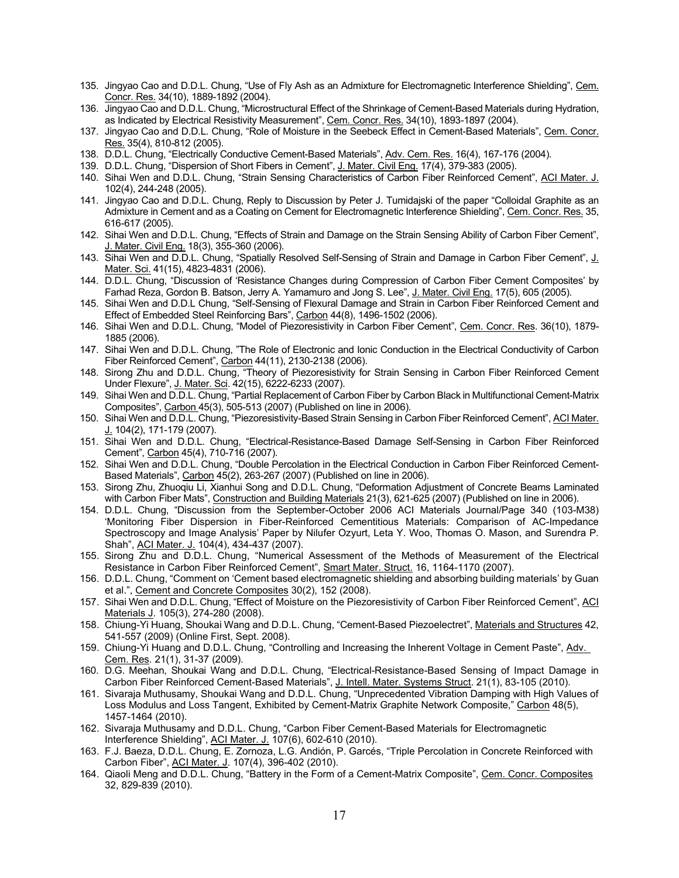- 135. Jingyao Cao and D.D.L. Chung, "Use of Fly Ash as an Admixture for Electromagnetic Interference Shielding", Cem. Concr. Res. 34(10), 1889-1892 (2004).
- 136. Jingyao Cao and D.D.L. Chung, "Microstructural Effect of the Shrinkage of Cement-Based Materials during Hydration, as Indicated by Electrical Resistivity Measurement", Cem. Concr. Res. 34(10), 1893-1897 (2004).
- 137. Jingyao Cao and D.D.L. Chung, "Role of Moisture in the Seebeck Effect in Cement-Based Materials", Cem. Concr. Res. 35(4), 810-812 (2005).
- 138. D.D.L. Chung, "Electrically Conductive Cement-Based Materials", Adv. Cem. Res. 16(4), 167-176 (2004).
- 139. D.D.L. Chung, "Dispersion of Short Fibers in Cement", J. Mater. Civil Eng. 17(4), 379-383 (2005).
- 140. Sihai Wen and D.D.L. Chung, "Strain Sensing Characteristics of Carbon Fiber Reinforced Cement", ACI Mater. J. 102(4), 244-248 (2005).
- 141. Jingyao Cao and D.D.L. Chung, Reply to Discussion by Peter J. Tumidajski of the paper "Colloidal Graphite as an Admixture in Cement and as a Coating on Cement for Electromagnetic Interference Shielding", Cem. Concr. Res. 35, 616-617 (2005).
- 142. Sihai Wen and D.D.L. Chung, "Effects of Strain and Damage on the Strain Sensing Ability of Carbon Fiber Cement", J. Mater. Civil Eng. 18(3), 355-360 (2006).
- 143. Sihai Wen and D.D.L. Chung, "Spatially Resolved Self-Sensing of Strain and Damage in Carbon Fiber Cement", J. Mater. Sci. 41(15), 4823-4831 (2006).
- 144. D.D.L. Chung, "Discussion of 'Resistance Changes during Compression of Carbon Fiber Cement Composites' by Farhad Reza, Gordon B. Batson, Jerry A. Yamamuro and Jong S. Lee", J. Mater. Civil Eng. 17(5), 605 (2005).
- 145. Sihai Wen and D.D.L Chung, "Self-Sensing of Flexural Damage and Strain in Carbon Fiber Reinforced Cement and Effect of Embedded Steel Reinforcing Bars", Carbon 44(8), 1496-1502 (2006).
- 146. Sihai Wen and D.D.L. Chung, "Model of Piezoresistivity in Carbon Fiber Cement", Cem. Concr. Res. 36(10), 1879- 1885 (2006).
- 147. Sihai Wen and D.D.L. Chung, "The Role of Electronic and Ionic Conduction in the Electrical Conductivity of Carbon Fiber Reinforced Cement", Carbon 44(11), 2130-2138 (2006).
- 148. Sirong Zhu and D.D.L. Chung, "Theory of Piezoresistivity for Strain Sensing in Carbon Fiber Reinforced Cement Under Flexure", J. Mater. Sci. 42(15), 6222-6233 (2007).
- 149. Sihai Wen and D.D.L. Chung, "Partial Replacement of Carbon Fiber by Carbon Black in Multifunctional Cement-Matrix Composites", Carbon 45(3), 505-513 (2007) (Published on line in 2006).
- 150. Sihai Wen and D.D.L. Chung, "Piezoresistivity-Based Strain Sensing in Carbon Fiber Reinforced Cement", ACI Mater. J. 104(2), 171-179 (2007).
- 151. Sihai Wen and D.D.L. Chung, "Electrical-Resistance-Based Damage Self-Sensing in Carbon Fiber Reinforced Cement", Carbon 45(4), 710-716 (2007).
- 152. Sihai Wen and D.D.L. Chung, "Double Percolation in the Electrical Conduction in Carbon Fiber Reinforced Cement-Based Materials", Carbon 45(2), 263-267 (2007) (Published on line in 2006).
- 153. Sirong Zhu, Zhuoqiu Li, Xianhui Song and D.D.L. Chung, "Deformation Adjustment of Concrete Beams Laminated with Carbon Fiber Mats", Construction and Building Materials 21(3), 621-625 (2007) (Published on line in 2006).
- 154. D.D.L. Chung, "Discussion from the September-October 2006 ACI Materials Journal/Page 340 (103-M38) 'Monitoring Fiber Dispersion in Fiber-Reinforced Cementitious Materials: Comparison of AC-Impedance Spectroscopy and Image Analysis' Paper by Nilufer Ozyurt, Leta Y. Woo, Thomas O. Mason, and Surendra P. Shah", ACI Mater. J. 104(4), 434-437 (2007).
- 155. Sirong Zhu and D.D.L. Chung, "Numerical Assessment of the Methods of Measurement of the Electrical Resistance in Carbon Fiber Reinforced Cement", Smart Mater. Struct. 16, 1164-1170 (2007).
- 156. D.D.L. Chung, "Comment on 'Cement based electromagnetic shielding and absorbing building materials' by Guan et al.", Cement and Concrete Composites 30(2), 152 (2008).
- 157. Sihai Wen and D.D.L. Chung, "Effect of Moisture on the Piezoresistivity of Carbon Fiber Reinforced Cement", ACI Materials J. 105(3), 274-280 (2008).
- 158. Chiung-Yi Huang, Shoukai Wang and D.D.L. Chung, "Cement-Based Piezoelectret", Materials and Structures 42, 541-557 (2009) (Online First, Sept. 2008).
- 159. Chiung-Yi Huang and D.D.L. Chung, "Controlling and Increasing the Inherent Voltage in Cement Paste", Adv. Cem. Res. 21(1), 31-37 (2009).
- 160. D.G. Meehan, Shoukai Wang and D.D.L. Chung, "Electrical-Resistance-Based Sensing of Impact Damage in Carbon Fiber Reinforced Cement-Based Materials", J. Intell. Mater. Systems Struct. 21(1), 83-105 (2010).
- 161. Sivaraja Muthusamy, Shoukai Wang and D.D.L. Chung, "Unprecedented Vibration Damping with High Values of Loss Modulus and Loss Tangent, Exhibited by Cement-Matrix Graphite Network Composite," Carbon 48(5), 1457-1464 (2010).
- 162. Sivaraja Muthusamy and D.D.L. Chung, "Carbon Fiber Cement-Based Materials for Electromagnetic Interference Shielding", ACI Mater. J. 107(6), 602-610 (2010).
- 163. F.J. Baeza, D.D.L. Chung, E. Zornoza, L.G. Andión, P. Garcés, "Triple Percolation in Concrete Reinforced with Carbon Fiber", ACI Mater. J. 107(4), 396-402 (2010).
- 164. Qiaoli Meng and D.D.L. Chung, "Battery in the Form of a Cement-Matrix Composite", Cem. Concr. Composites 32, 829-839 (2010).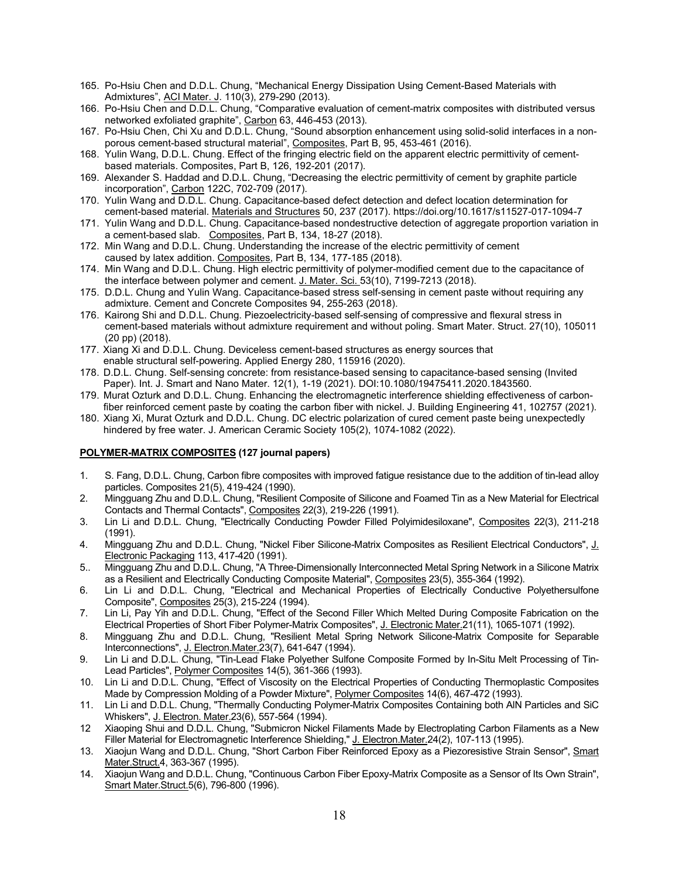- 165. Po-Hsiu Chen and D.D.L. Chung, "Mechanical Energy Dissipation Using Cement-Based Materials with Admixtures", ACI Mater. J. 110(3), 279-290 (2013).
- 166. Po-Hsiu Chen and D.D.L. Chung, "Comparative evaluation of cement-matrix composites with distributed versus networked exfoliated graphite", Carbon 63, 446-453 (2013).
- 167. Po-Hsiu Chen, Chi Xu and D.D.L. Chung, "Sound absorption enhancement using solid-solid interfaces in a nonporous cement-based structural material", Composites, Part B, 95, 453-461 (2016).
- 168. Yulin Wang, D.D.L. Chung. Effect of the fringing electric field on the apparent electric permittivity of cementbased materials. Composites, Part B, 126, 192-201 (2017).
- 169. Alexander S. Haddad and D.D.L. Chung, "Decreasing the electric permittivity of cement by graphite particle incorporation", Carbon 122C, 702-709 (2017).
- 170. Yulin Wang and D.D.L. Chung. Capacitance-based defect detection and defect location determination for cement-based material. Materials and Structures 50, 237 (2017). https://doi.org/10.1617/s11527-017-1094-7
- 171. Yulin Wang and D.D.L. Chung. Capacitance-based nondestructive detection of aggregate proportion variation in a cement-based slab. Composites, Part B, 134, 18-27 (2018).
- 172. Min Wang and D.D.L. Chung. Understanding the increase of the electric permittivity of cement caused by latex addition. Composites, Part B, 134, 177-185 (2018).
- 174. Min Wang and D.D.L. Chung. High electric permittivity of polymer-modified cement due to the capacitance of the interface between polymer and cement. J. Mater. Sci. 53(10), 7199-7213 (2018).
- 175. D.D.L. Chung and Yulin Wang. Capacitance-based stress self-sensing in cement paste without requiring any admixture. Cement and Concrete Composites 94, 255-263 (2018).
- 176. Kairong Shi and D.D.L. Chung. Piezoelectricity-based self-sensing of compressive and flexural stress in cement-based materials without admixture requirement and without poling. Smart Mater. Struct. 27(10), 105011 (20 pp) (2018).
- 177. Xiang Xi and D.D.L. Chung. Deviceless cement-based structures as energy sources that enable structural self-powering. Applied Energy 280, 115916 (2020).
- 178. D.D.L. Chung. Self-sensing concrete: from resistance-based sensing to capacitance-based sensing (Invited Paper). Int. J. Smart and Nano Mater. 12(1), 1-19 (2021). DOI:10.1080/19475411.2020.1843560.
- 179. Murat Ozturk and D.D.L. Chung. Enhancing the electromagnetic interference shielding effectiveness of carbonfiber reinforced cement paste by coating the carbon fiber with nickel. J. Building Engineering 41, 102757 (2021).
- 180. Xiang Xi, Murat Ozturk and D.D.L. Chung. DC electric polarization of cured cement paste being unexpectedly hindered by free water. J. American Ceramic Society 105(2), 1074-1082 (2022).

# **POLYMER-MATRIX COMPOSITES (127 journal papers)**

- 1. S. Fang, D.D.L. Chung, Carbon fibre composites with improved fatigue resistance due to the addition of tin-lead alloy particles. Composites 21(5), 419-424 (1990).
- 2. Mingguang Zhu and D.D.L. Chung, "Resilient Composite of Silicone and Foamed Tin as a New Material for Electrical Contacts and Thermal Contacts", Composites 22(3), 219-226 (1991).
- 3. Lin Li and D.D.L. Chung, "Electrically Conducting Powder Filled Polyimidesiloxane", Composites 22(3), 211-218 (1991).
- 4. Mingguang Zhu and D.D.L. Chung, "Nickel Fiber Silicone-Matrix Composites as Resilient Electrical Conductors", J. Electronic Packaging 113, 417-420 (1991).
- 5.. Mingguang Zhu and D.D.L. Chung, "A Three-Dimensionally Interconnected Metal Spring Network in a Silicone Matrix as a Resilient and Electrically Conducting Composite Material", Composites 23(5), 355-364 (1992).
- 6. Lin Li and D.D.L. Chung, "Electrical and Mechanical Properties of Electrically Conductive Polyethersulfone Composite", Composites 25(3), 215-224 (1994).
- 7. Lin Li, Pay Yih and D.D.L. Chung, "Effect of the Second Filler Which Melted During Composite Fabrication on the Electrical Properties of Short Fiber Polymer-Matrix Composites", J. Electronic Mater.21(11), 1065-1071 (1992).
- 8. Mingguang Zhu and D.D.L. Chung, "Resilient Metal Spring Network Silicone-Matrix Composite for Separable Interconnections", J. Electron.Mater.23(7), 641-647 (1994).
- 9. Lin Li and D.D.L. Chung, "Tin-Lead Flake Polyether Sulfone Composite Formed by In-Situ Melt Processing of Tin-Lead Particles", Polymer Composites 14(5), 361-366 (1993).
- 10. Lin Li and D.D.L. Chung, "Effect of Viscosity on the Electrical Properties of Conducting Thermoplastic Composites Made by Compression Molding of a Powder Mixture", Polymer Composites 14(6), 467-472 (1993).
- 11. Lin Li and D.D.L. Chung, "Thermally Conducting Polymer-Matrix Composites Containing both AlN Particles and SiC Whiskers", J. Electron. Mater.23(6), 557-564 (1994).
- 12 Xiaoping Shui and D.D.L. Chung, "Submicron Nickel Filaments Made by Electroplating Carbon Filaments as a New Filler Material for Electromagnetic Interference Shielding," J. Electron.Mater.24(2), 107-113 (1995).
- 13. Xiaojun Wang and D.D.L. Chung, "Short Carbon Fiber Reinforced Epoxy as a Piezoresistive Strain Sensor", Smart Mater.Struct.4, 363-367 (1995).
- 14. Xiaojun Wang and D.D.L. Chung, "Continuous Carbon Fiber Epoxy-Matrix Composite as a Sensor of Its Own Strain", Smart Mater.Struct.5(6), 796-800 (1996).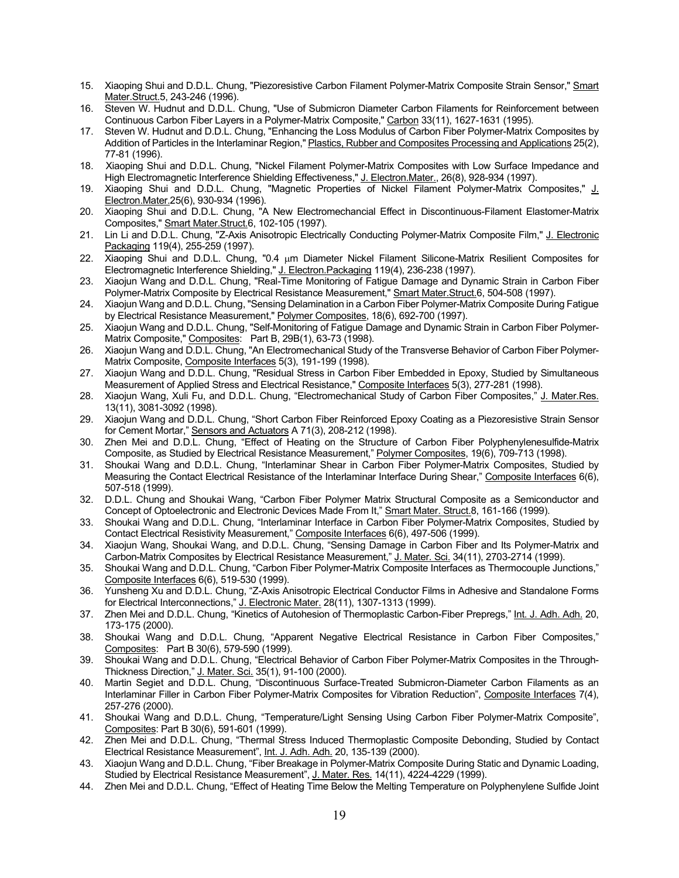- 15. Xiaoping Shui and D.D.L. Chung, "Piezoresistive Carbon Filament Polymer-Matrix Composite Strain Sensor," Smart Mater.Struct.5, 243-246 (1996).
- 16. Steven W. Hudnut and D.D.L. Chung, "Use of Submicron Diameter Carbon Filaments for Reinforcement between Continuous Carbon Fiber Layers in a Polymer-Matrix Composite," Carbon 33(11), 1627-1631 (1995).
- 17. Steven W. Hudnut and D.D.L. Chung, "Enhancing the Loss Modulus of Carbon Fiber Polymer-Matrix Composites by Addition of Particles in the Interlaminar Region," Plastics, Rubber and Composites Processing and Applications 25(2), 77-81 (1996).
- 18. Xiaoping Shui and D.D.L. Chung, "Nickel Filament Polymer-Matrix Composites with Low Surface Impedance and High Electromagnetic Interference Shielding Effectiveness," J. Electron.Mater., 26(8), 928-934 (1997).
- 19. Xiaoping Shui and D.D.L. Chung, "Magnetic Properties of Nickel Filament Polymer-Matrix Composites," J. Electron.Mater.25(6), 930-934 (1996).
- 20. Xiaoping Shui and D.D.L. Chung, "A New Electromechancial Effect in Discontinuous-Filament Elastomer-Matrix Composites," Smart Mater.Struct.6, 102-105 (1997).
- 21. Lin Li and D.D.L. Chung, "Z-Axis Anisotropic Electrically Conducting Polymer-Matrix Composite Film," J. Electronic Packaging 119(4), 255-259 (1997).
- 22. Xiaoping Shui and D.D.L. Chung, "0.4 µm Diameter Nickel Filament Silicone-Matrix Resilient Composites for Electromagnetic Interference Shielding," J. Electron.Packaging 119(4), 236-238 (1997).
- 23. Xiaojun Wang and D.D.L. Chung, "Real-Time Monitoring of Fatigue Damage and Dynamic Strain in Carbon Fiber Polymer-Matrix Composite by Electrical Resistance Measurement," Smart Mater.Struct.6, 504-508 (1997).
- 24. Xiaojun Wang and D.D.L. Chung, "Sensing Delamination in a Carbon Fiber Polymer-Matrix Composite During Fatigue by Electrical Resistance Measurement," Polymer Composites, 18(6), 692-700 (1997).
- 25. Xiaojun Wang and D.D.L. Chung, "Self-Monitoring of Fatigue Damage and Dynamic Strain in Carbon Fiber Polymer-Matrix Composite," <u>Composites</u>: Part B, 29B(1), 63-73 (1998).
- 26. Xiaojun Wang and D.D.L. Chung, "An Electromechanical Study of the Transverse Behavior of Carbon Fiber Polymer-Matrix Composite, Composite Interfaces 5(3), 191-199 (1998).
- 27. Xiaojun Wang and D.D.L. Chung, "Residual Stress in Carbon Fiber Embedded in Epoxy, Studied by Simultaneous Measurement of Applied Stress and Electrical Resistance," Composite Interfaces 5(3), 277-281 (1998).
- 28. Xiaojun Wang, Xuli Fu, and D.D.L. Chung, "Electromechanical Study of Carbon Fiber Composites," J. Mater.Res. 13(11), 3081-3092 (1998).
- 29. Xiaojun Wang and D.D.L. Chung, "Short Carbon Fiber Reinforced Epoxy Coating as a Piezoresistive Strain Sensor for Cement Mortar," Sensors and Actuators A 71(3), 208-212 (1998).
- 30. Zhen Mei and D.D.L. Chung, "Effect of Heating on the Structure of Carbon Fiber Polyphenylenesulfide-Matrix Composite, as Studied by Electrical Resistance Measurement," Polymer Composites, 19(6), 709-713 (1998).
- 31. Shoukai Wang and D.D.L. Chung, "Interlaminar Shear in Carbon Fiber Polymer-Matrix Composites, Studied by Measuring the Contact Electrical Resistance of the Interlaminar Interface During Shear," Composite Interfaces 6(6), 507-518 (1999).
- 32. D.D.L. Chung and Shoukai Wang, "Carbon Fiber Polymer Matrix Structural Composite as a Semiconductor and Concept of Optoelectronic and Electronic Devices Made From It," Smart Mater. Struct.8, 161-166 (1999).
- 33. Shoukai Wang and D.D.L. Chung, "Interlaminar Interface in Carbon Fiber Polymer-Matrix Composites, Studied by Contact Electrical Resistivity Measurement," Composite Interfaces 6(6), 497-506 (1999).
- 34. Xiaojun Wang, Shoukai Wang, and D.D.L. Chung, "Sensing Damage in Carbon Fiber and Its Polymer-Matrix and Carbon-Matrix Composites by Electrical Resistance Measurement," J. Mater. Sci. 34(11), 2703-2714 (1999).
- 35. Shoukai Wang and D.D.L. Chung, "Carbon Fiber Polymer-Matrix Composite Interfaces as Thermocouple Junctions," Composite Interfaces 6(6), 519-530 (1999).
- 36. Yunsheng Xu and D.D.L. Chung, "Z-Axis Anisotropic Electrical Conductor Films in Adhesive and Standalone Forms for Electrical Interconnections," <u>J. Electronic Mater.</u> 28(11), 1307-1313 (1999).
- 37. Zhen Mei and D.D.L. Chung, "Kinetics of Autohesion of Thermoplastic Carbon-Fiber Prepregs," <u>Int. J. Adh. Adh.</u> 20, 173-175 (2000).
- 38. Shoukai Wang and D.D.L. Chung, "Apparent Negative Electrical Resistance in Carbon Fiber Composites," Composites: Part B 30(6), 579-590 (1999).
- 39. Shoukai Wang and D.D.L. Chung, "Electrical Behavior of Carbon Fiber Polymer-Matrix Composites in the Through-Thickness Direction," J. Mater. Sci. 35(1), 91-100 (2000).
- 40. Martin Segiet and D.D.L. Chung, "Discontinuous Surface-Treated Submicron-Diameter Carbon Filaments as an Interlaminar Filler in Carbon Fiber Polymer-Matrix Composites for Vibration Reduction", Composite Interfaces 7(4), 257-276 (2000).
- 41. Shoukai Wang and D.D.L. Chung, "Temperature/Light Sensing Using Carbon Fiber Polymer-Matrix Composite", Composites: Part B 30(6), 591-601 (1999).
- 42. Zhen Mei and D.D.L. Chung, "Thermal Stress Induced Thermoplastic Composite Debonding, Studied by Contact Electrical Resistance Measurement", Int. J. Adh. Adh. 20, 135-139 (2000).
- 43. Xiaojun Wang and D.D.L. Chung, "Fiber Breakage in Polymer-Matrix Composite During Static and Dynamic Loading, Studied by Electrical Resistance Measurement", J. Mater. Res. 14(11), 4224-4229 (1999).
- 44. Zhen Mei and D.D.L. Chung, "Effect of Heating Time Below the Melting Temperature on Polyphenylene Sulfide Joint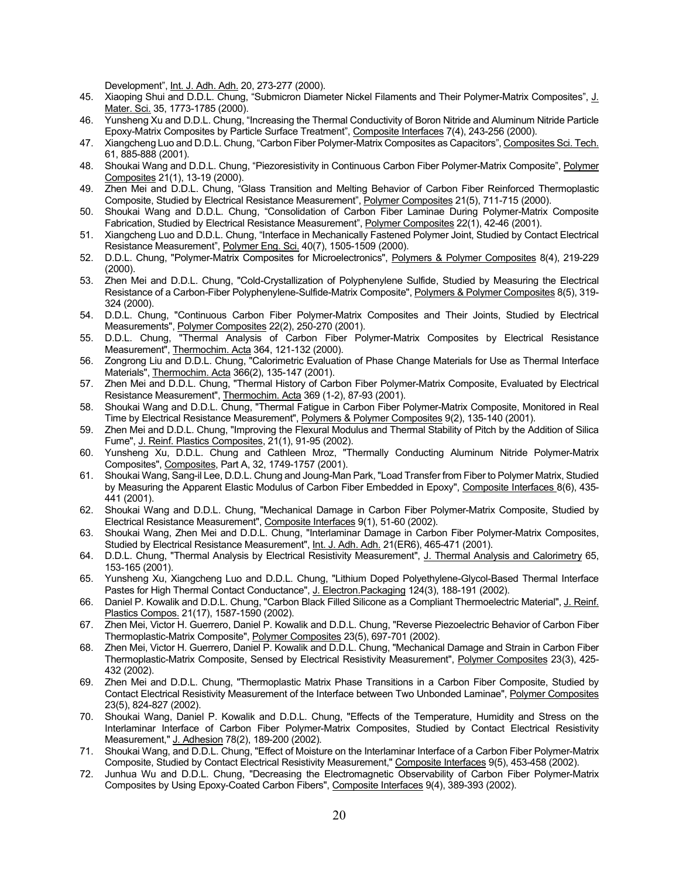Development", Int. J. Adh. Adh. 20, 273-277 (2000).

- 45. Xiaoping Shui and D.D.L. Chung, "Submicron Diameter Nickel Filaments and Their Polymer-Matrix Composites", J. Mater. Sci. 35, 1773-1785 (2000).
- 46. Yunsheng Xu and D.D.L. Chung, "Increasing the Thermal Conductivity of Boron Nitride and Aluminum Nitride Particle Epoxy-Matrix Composites by Particle Surface Treatment", Composite Interfaces 7(4), 243-256 (2000).
- 47. Xiangcheng Luo and D.D.L. Chung, "Carbon Fiber Polymer-Matrix Composites as Capacitors", Composites Sci. Tech. 61, 885-888 (2001).
- 48. Shoukai Wang and D.D.L. Chung, "Piezoresistivity in Continuous Carbon Fiber Polymer-Matrix Composite", Polymer Composites 21(1), 13-19 (2000).
- 49. Zhen Mei and D.D.L. Chung, "Glass Transition and Melting Behavior of Carbon Fiber Reinforced Thermoplastic Composite, Studied by Electrical Resistance Measurement", Polymer Composites 21(5), 711-715 (2000).
- 50. Shoukai Wang and D.D.L. Chung, "Consolidation of Carbon Fiber Laminae During Polymer-Matrix Composite Fabrication, Studied by Electrical Resistance Measurement", Polymer Composites 22(1), 42-46 (2001).
- 51. Xiangcheng Luo and D.D.L. Chung, "Interface in Mechanically Fastened Polymer Joint, Studied by Contact Electrical Resistance Measurement", Polymer Eng. Sci. 40(7), 1505-1509 (2000).
- 52. D.D.L. Chung, "Polymer-Matrix Composites for Microelectronics", Polymers & Polymer Composites 8(4), 219-229 (2000).
- 53. Zhen Mei and D.D.L. Chung, "Cold-Crystallization of Polyphenylene Sulfide, Studied by Measuring the Electrical Resistance of a Carbon-Fiber Polyphenylene-Sulfide-Matrix Composite", Polymers & Polymer Composites 8(5), 319-324 (2000).
- 54. D.D.L. Chung, "Continuous Carbon Fiber Polymer-Matrix Composites and Their Joints, Studied by Electrical Measurements", Polymer Composites 22(2), 250-270 (2001).
- 55. D.D.L. Chung, "Thermal Analysis of Carbon Fiber Polymer-Matrix Composites by Electrical Resistance Measurement", Thermochim. Acta 364, 121-132 (2000).
- 56. Zongrong Liu and D.D.L. Chung, "Calorimetric Evaluation of Phase Change Materials for Use as Thermal Interface Materials", Thermochim. Acta 366(2), 135-147 (2001).
- 57. Zhen Mei and D.D.L. Chung, "Thermal History of Carbon Fiber Polymer-Matrix Composite, Evaluated by Electrical Resistance Measurement", Thermochim. Acta 369 (1-2), 87-93 (2001).
- 58. Shoukai Wang and D.D.L. Chung, "Thermal Fatigue in Carbon Fiber Polymer-Matrix Composite, Monitored in Real Time by Electrical Resistance Measurement", Polymers & Polymer Composites 9(2), 135-140 (2001).
- 59. Zhen Mei and D.D.L. Chung, "Improving the Flexural Modulus and Thermal Stability of Pitch by the Addition of Silica Fume", J. Reinf. Plastics Composites, 21(1), 91-95 (2002).
- 60. Yunsheng Xu, D.D.L. Chung and Cathleen Mroz, "Thermally Conducting Aluminum Nitride Polymer-Matrix Composites", Composites, Part A, 32, 1749-1757 (2001).
- 61. Shoukai Wang, Sang-il Lee, D.D.L. Chung and Joung-Man Park, "Load Transfer from Fiber to Polymer Matrix, Studied by Measuring the Apparent Elastic Modulus of Carbon Fiber Embedded in Epoxy", Composite Interfaces 8(6), 435- 441 (2001).
- 62. Shoukai Wang and D.D.L. Chung, "Mechanical Damage in Carbon Fiber Polymer-Matrix Composite, Studied by Electrical Resistance Measurement", Composite Interfaces 9(1), 51-60 (2002).
- 63. Shoukai Wang, Zhen Mei and D.D.L. Chung, "Interlaminar Damage in Carbon Fiber Polymer-Matrix Composites, Studied by Electrical Resistance Measurement", <u>Int. J. Adh. Adh.</u> 21(ER6), 465-471 (2001).
- 64. D.D.L. Chung, "Thermal Analysis by Electrical Resistivity Measurement", J. Thermal Analysis and Calorimetry 65, 153-165 (2001).
- 65. Yunsheng Xu, Xiangcheng Luo and D.D.L. Chung, "Lithium Doped Polyethylene-Glycol-Based Thermal Interface Pastes for High Thermal Contact Conductance", J. Electron.Packaging 124(3), 188-191 (2002).
- 66. Daniel P. Kowalik and D.D.L. Chung, "Carbon Black Filled Silicone as a Compliant Thermoelectric Material", J. Reinf. Plastics Compos. 21(17), 1587-1590 (2002).
- 67. Zhen Mei, Victor H. Guerrero, Daniel P. Kowalik and D.D.L. Chung, "Reverse Piezoelectric Behavior of Carbon Fiber Thermoplastic-Matrix Composite", Polymer Composites 23(5), 697-701 (2002).
- 68. Zhen Mei, Victor H. Guerrero, Daniel P. Kowalik and D.D.L. Chung, "Mechanical Damage and Strain in Carbon Fiber Thermoplastic-Matrix Composite, Sensed by Electrical Resistivity Measurement", Polymer Composites 23(3), 425- 432 (2002).
- 69. Zhen Mei and D.D.L. Chung, "Thermoplastic Matrix Phase Transitions in a Carbon Fiber Composite, Studied by Contact Electrical Resistivity Measurement of the Interface between Two Unbonded Laminae", Polymer Composites 23(5), 824-827 (2002).
- 70. Shoukai Wang, Daniel P. Kowalik and D.D.L. Chung, "Effects of the Temperature, Humidity and Stress on the Interlaminar Interface of Carbon Fiber Polymer-Matrix Composites, Studied by Contact Electrical Resistivity Measurement," J. Adhesion 78(2), 189-200 (2002).
- 71. Shoukai Wang, and D.D.L. Chung, "Effect of Moisture on the Interlaminar Interface of a Carbon Fiber Polymer-Matrix Composite, Studied by Contact Electrical Resistivity Measurement," Composite Interfaces 9(5), 453-458 (2002).
- 72. Junhua Wu and D.D.L. Chung, "Decreasing the Electromagnetic Observability of Carbon Fiber Polymer-Matrix Composites by Using Epoxy-Coated Carbon Fibers", Composite Interfaces 9(4), 389-393 (2002).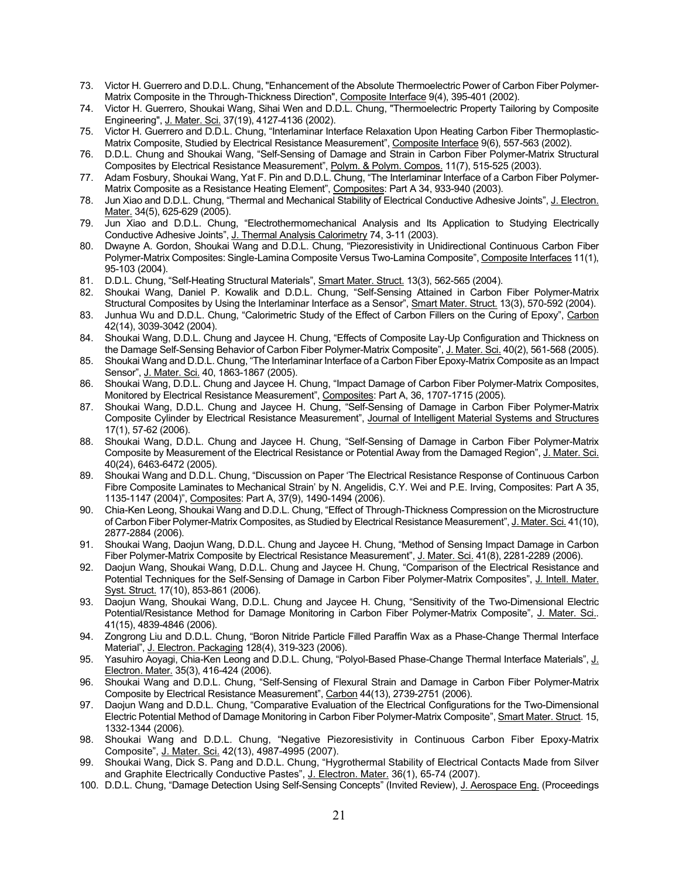- 73. Victor H. Guerrero and D.D.L. Chung, "Enhancement of the Absolute Thermoelectric Power of Carbon Fiber Polymer-Matrix Composite in the Through-Thickness Direction", Composite Interface 9(4), 395-401 (2002).
- 74. Victor H. Guerrero, Shoukai Wang, Sihai Wen and D.D.L. Chung, "Thermoelectric Property Tailoring by Composite Engineering", J. Mater. Sci. 37(19), 4127-4136 (2002).
- 75. Victor H. Guerrero and D.D.L. Chung, "Interlaminar Interface Relaxation Upon Heating Carbon Fiber Thermoplastic-Matrix Composite, Studied by Electrical Resistance Measurement", Composite Interface 9(6), 557-563 (2002).
- 76. D.D.L. Chung and Shoukai Wang, "Self-Sensing of Damage and Strain in Carbon Fiber Polymer-Matrix Structural Composites by Electrical Resistance Measurement", Polym. & Polym. Compos. 11(7), 515-525 (2003).
- 77. Adam Fosbury, Shoukai Wang, Yat F. Pin and D.D.L. Chung, "The Interlaminar Interface of a Carbon Fiber Polymer-Matrix Composite as a Resistance Heating Element", Composites: Part A 34, 933-940 (2003).
- 78. Jun Xiao and D.D.L. Chung, "Thermal and Mechanical Stability of Electrical Conductive Adhesive Joints", J. Electron. Mater. 34(5), 625-629 (2005).
- 79. Jun Xiao and D.D.L. Chung, "Electrothermomechanical Analysis and Its Application to Studying Electrically Conductive Adhesive Joints", J. Thermal Analysis Calorimetry 74, 3-11 (2003).
- 80. Dwayne A. Gordon, Shoukai Wang and D.D.L. Chung, "Piezoresistivity in Unidirectional Continuous Carbon Fiber Polymer-Matrix Composites: Single-Lamina Composite Versus Two-Lamina Composite", Composite Interfaces 11(1), 95-103 (2004).
- 81. D.D.L. Chung, "Self-Heating Structural Materials", Smart Mater. Struct. 13(3), 562-565 (2004).
- 82. Shoukai Wang, Daniel P. Kowalik and D.D.L. Chung, "Self-Sensing Attained in Carbon Fiber Polymer-Matrix Structural Composites by Using the Interlaminar Interface as a Sensor", Smart Mater. Struct. 13(3), 570-592 (2004).
- 83. Junhua Wu and D.D.L. Chung, "Calorimetric Study of the Effect of Carbon Fillers on the Curing of Epoxy", Carbon 42(14), 3039-3042 (2004).
- 84. Shoukai Wang, D.D.L. Chung and Jaycee H. Chung, "Effects of Composite Lay-Up Configuration and Thickness on the Damage Self-Sensing Behavior of Carbon Fiber Polymer-Matrix Composite", J. Mater. Sci. 40(2), 561-568 (2005).
- 85. Shoukai Wang and D.D.L. Chung, "The Interlaminar Interface of a Carbon Fiber Epoxy-Matrix Composite as an Impact Sensor", J. Mater. Sci. 40, 1863-1867 (2005).
- 86. Shoukai Wang, D.D.L. Chung and Jaycee H. Chung, "Impact Damage of Carbon Fiber Polymer-Matrix Composites, Monitored by Electrical Resistance Measurement", Composites: Part A, 36, 1707-1715 (2005).
- 87. Shoukai Wang, D.D.L. Chung and Jaycee H. Chung, "Self-Sensing of Damage in Carbon Fiber Polymer-Matrix Composite Cylinder by Electrical Resistance Measurement", Journal of Intelligent Material Systems and Structures 17(1), 57-62 (2006).
- 88. Shoukai Wang, D.D.L. Chung and Jaycee H. Chung, "Self-Sensing of Damage in Carbon Fiber Polymer-Matrix Composite by Measurement of the Electrical Resistance or Potential Away from the Damaged Region", J. Mater. Sci. 40(24), 6463-6472 (2005).
- 89. Shoukai Wang and D.D.L. Chung, "Discussion on Paper 'The Electrical Resistance Response of Continuous Carbon Fibre Composite Laminates to Mechanical Strain' by N. Angelidis, C.Y. Wei and P.E. Irving, Composites: Part A 35, 1135-1147 (2004)", Composites: Part A, 37(9), 1490-1494 (2006).
- 90. Chia-Ken Leong, Shoukai Wang and D.D.L. Chung, "Effect of Through-Thickness Compression on the Microstructure of Carbon Fiber Polymer-Matrix Composites, as Studied by Electrical Resistance Measurement", J. Mater. Sci. 41(10), 2877-2884 (2006).
- 91. Shoukai Wang, Daojun Wang, D.D.L. Chung and Jaycee H. Chung, "Method of Sensing Impact Damage in Carbon Fiber Polymer-Matrix Composite by Electrical Resistance Measurement", J. Mater. Sci. 41(8), 2281-2289 (2006).
- 92. Daojun Wang, Shoukai Wang, D.D.L. Chung and Jaycee H. Chung, "Comparison of the Electrical Resistance and Potential Techniques for the Self-Sensing of Damage in Carbon Fiber Polymer-Matrix Composites", J. Intell. Mater. Syst. Struct. 17(10), 853-861 (2006).
- 93. Daojun Wang, Shoukai Wang, D.D.L. Chung and Jaycee H. Chung, "Sensitivity of the Two-Dimensional Electric Potential/Resistance Method for Damage Monitoring in Carbon Fiber Polymer-Matrix Composite", J. Mater. Sci.. 41(15), 4839-4846 (2006).
- 94. Zongrong Liu and D.D.L. Chung, "Boron Nitride Particle Filled Paraffin Wax as a Phase-Change Thermal Interface Material", J. Electron. Packaging 128(4), 319-323 (2006).
- 95. Yasuhiro Aoyagi, Chia-Ken Leong and D.D.L. Chung, "Polyol-Based Phase-Change Thermal Interface Materials", J. Electron. Mater. 35(3), 416-424 (2006).
- 96. Shoukai Wang and D.D.L. Chung, "Self-Sensing of Flexural Strain and Damage in Carbon Fiber Polymer-Matrix Composite by Electrical Resistance Measurement", Carbon 44(13), 2739-2751 (2006).
- 97. Daojun Wang and D.D.L. Chung, "Comparative Evaluation of the Electrical Configurations for the Two-Dimensional Electric Potential Method of Damage Monitoring in Carbon Fiber Polymer-Matrix Composite", Smart Mater. Struct. 15, 1332-1344 (2006).
- 98. Shoukai Wang and D.D.L. Chung, "Negative Piezoresistivity in Continuous Carbon Fiber Epoxy-Matrix Composite", J. Mater. Sci. 42(13), 4987-4995 (2007).
- 99. Shoukai Wang, Dick S. Pang and D.D.L. Chung, "Hygrothermal Stability of Electrical Contacts Made from Silver and Graphite Electrically Conductive Pastes", J. Electron. Mater. 36(1), 65-74 (2007).
- 100. D.D.L. Chung, "Damage Detection Using Self-Sensing Concepts" (Invited Review), J. Aerospace Eng. (Proceedings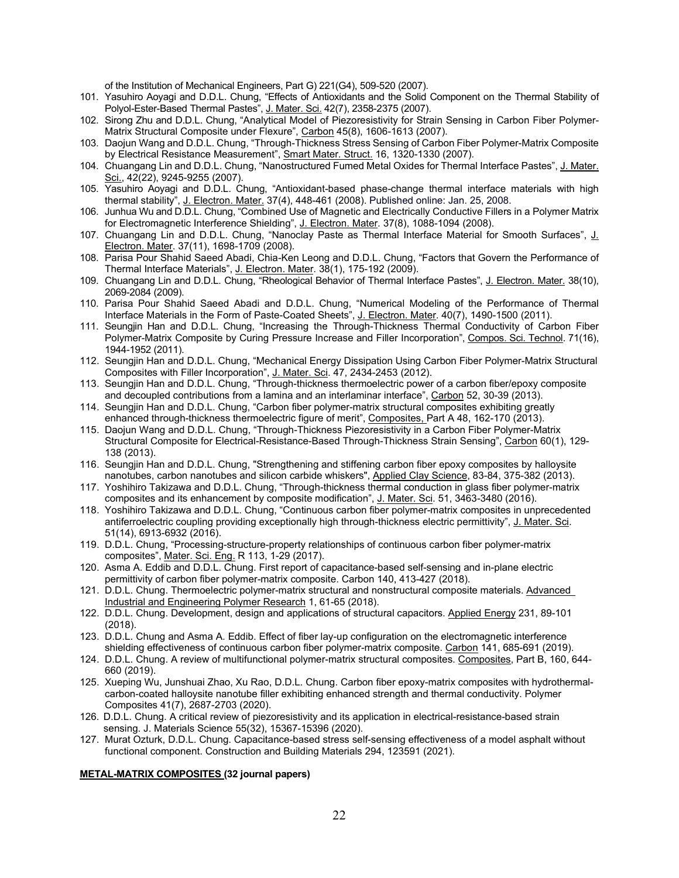of the Institution of Mechanical Engineers, Part G) 221(G4), 509-520 (2007).

- 101. Yasuhiro Aoyagi and D.D.L. Chung, "Effects of Antioxidants and the Solid Component on the Thermal Stability of Polyol-Ester-Based Thermal Pastes", J. Mater. Sci. 42(7), 2358-2375 (2007).
- 102. Sirong Zhu and D.D.L. Chung, "Analytical Model of Piezoresistivity for Strain Sensing in Carbon Fiber Polymer-Matrix Structural Composite under Flexure", Carbon 45(8), 1606-1613 (2007).
- 103. Daojun Wang and D.D.L. Chung, "Through-Thickness Stress Sensing of Carbon Fiber Polymer-Matrix Composite by Electrical Resistance Measurement", Smart Mater. Struct. 16, 1320-1330 (2007).
- 104. Chuangang Lin and D.D.L. Chung, "Nanostructured Fumed Metal Oxides for Thermal Interface Pastes", J. Mater. Sci., 42(22), 9245-9255 (2007).
- 105. Yasuhiro Aoyagi and D.D.L. Chung, "Antioxidant-based phase-change thermal interface materials with high thermal stability", J. Electron. Mater. 37(4), 448-461 (2008). Published online: Jan. 25, 2008.
- 106. Junhua Wu and D.D.L. Chung, "Combined Use of Magnetic and Electrically Conductive Fillers in a Polymer Matrix for Electromagnetic Interference Shielding", J. Electron. Mater. 37(8), 1088-1094 (2008).
- 107. Chuangang Lin and D.D.L. Chung, "Nanoclay Paste as Thermal Interface Material for Smooth Surfaces", J. Electron. Mater. 37(11), 1698-1709 (2008).
- 108. Parisa Pour Shahid Saeed Abadi, Chia-Ken Leong and D.D.L. Chung, "Factors that Govern the Performance of Thermal Interface Materials", J. Electron. Mater. 38(1), 175-192 (2009).
- 109. Chuangang Lin and D.D.L. Chung, "Rheological Behavior of Thermal Interface Pastes", J. Electron. Mater. 38(10), 2069-2084 (2009).
- 110. Parisa Pour Shahid Saeed Abadi and D.D.L. Chung, "Numerical Modeling of the Performance of Thermal Interface Materials in the Form of Paste-Coated Sheets", J. Electron. Mater. 40(7), 1490-1500 (2011).
- 111. Seungjin Han and D.D.L. Chung, "Increasing the Through-Thickness Thermal Conductivity of Carbon Fiber Polymer-Matrix Composite by Curing Pressure Increase and Filler Incorporation", Compos. Sci. Technol. 71(16), 1944-1952 (2011).
- 112. Seungjin Han and D.D.L. Chung, "Mechanical Energy Dissipation Using Carbon Fiber Polymer-Matrix Structural Composites with Filler Incorporation", J. Mater. Sci. 47, 2434-2453 (2012).
- 113. Seungjin Han and D.D.L. Chung, "Through-thickness thermoelectric power of a carbon fiber/epoxy composite and decoupled contributions from a lamina and an interlaminar interface", Carbon 52, 30-39 (2013).
- 114. Seungjin Han and D.D.L. Chung, "Carbon fiber polymer-matrix structural composites exhibiting greatly enhanced through-thickness thermoelectric figure of merit", Composites, Part A 48, 162-170 (2013).
- 115. Daojun Wang and D.D.L. Chung, "Through-Thickness Piezoresistivity in a Carbon Fiber Polymer-Matrix Structural Composite for Electrical-Resistance-Based Through-Thickness Strain Sensing", Carbon 60(1), 129- 138 (2013).
- 116. Seungjin Han and D.D.L. Chung, "Strengthening and stiffening carbon fiber epoxy composites by halloysite nanotubes, carbon nanotubes and silicon carbide whiskers", Applied Clay Science, 83-84, 375-382 (2013).
- 117. Yoshihiro Takizawa and D.D.L. Chung, "Through-thickness thermal conduction in glass fiber polymer-matrix composites and its enhancement by composite modification", J. Mater. Sci. 51, 3463-3480 (2016).
- 118. Yoshihiro Takizawa and D.D.L. Chung, "Continuous carbon fiber polymer-matrix composites in unprecedented antiferroelectric coupling providing exceptionally high through-thickness electric permittivity", J. Mater. Sci. 51(14), 6913-6932 (2016).
- 119. D.D.L. Chung, "Processing-structure-property relationships of continuous carbon fiber polymer-matrix composites", Mater. Sci. Eng. R 113, 1-29 (2017).
- 120. Asma A. Eddib and D.D.L. Chung. First report of capacitance-based self-sensing and in-plane electric permittivity of carbon fiber polymer-matrix composite. Carbon 140, 413-427 (2018).
- 121. D.D.L. Chung. Thermoelectric polymer-matrix structural and nonstructural composite materials. Advanced Industrial and Engineering Polymer Research 1, 61-65 (2018).
- 122. D.D.L. Chung. Development, design and applications of structural capacitors. Applied Energy 231, 89-101 (2018).
- 123. D.D.L. Chung and Asma A. Eddib. Effect of fiber lay-up configuration on the electromagnetic interference shielding effectiveness of continuous carbon fiber polymer-matrix composite. Carbon 141, 685-691 (2019).
- 124. D.D.L. Chung. A review of multifunctional polymer-matrix structural composites. Composites, Part B, 160, 644- 660 (2019).
- 125. Xueping Wu, Junshuai Zhao, Xu Rao, D.D.L. Chung. Carbon fiber epoxy-matrix composites with hydrothermalcarbon-coated halloysite nanotube filler exhibiting enhanced strength and thermal conductivity. Polymer Composites 41(7), 2687-2703 (2020).
- 126. D.D.L. Chung. A critical review of piezoresistivity and its application in electrical-resistance-based strain sensing. J. Materials Science 55(32), 15367-15396 (2020).
- 127. Murat Ozturk, D.D.L. Chung. Capacitance-based stress self-sensing effectiveness of a model asphalt without functional component. Construction and Building Materials 294, 123591 (2021).

# **METAL-MATRIX COMPOSITES (32 journal papers)**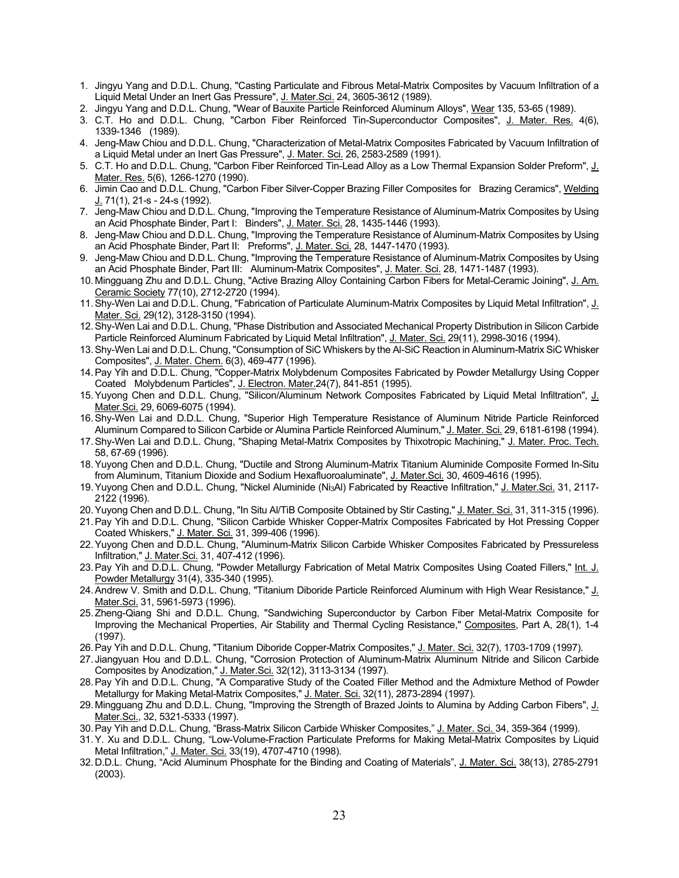- 1. Jingyu Yang and D.D.L. Chung, "Casting Particulate and Fibrous Metal-Matrix Composites by Vacuum Infiltration of a Liquid Metal Under an Inert Gas Pressure", J. Mater.Sci. 24, 3605-3612 (1989).
- 2. Jingyu Yang and D.D.L. Chung, "Wear of Bauxite Particle Reinforced Aluminum Alloys", Wear 135, 53-65 (1989).
- 3. C.T. Ho and D.D.L. Chung, "Carbon Fiber Reinforced Tin-Superconductor Composites", J. Mater. Res. 4(6), 1339-1346 (1989).
- 4. Jeng-Maw Chiou and D.D.L. Chung, "Characterization of Metal-Matrix Composites Fabricated by Vacuum Infiltration of a Liquid Metal under an Inert Gas Pressure", J. Mater. Sci. 26, 2583-2589 (1991).
- 5. C.T. Ho and D.D.L. Chung, "Carbon Fiber Reinforced Tin-Lead Alloy as a Low Thermal Expansion Solder Preform", J. Mater. Res. 5(6), 1266-1270 (1990).
- 6. Jimin Cao and D.D.L. Chung, "Carbon Fiber Silver-Copper Brazing Filler Composites for Brazing Ceramics", Welding J. 71(1), 21-s - 24-s (1992).
- 7. Jeng-Maw Chiou and D.D.L. Chung, "Improving the Temperature Resistance of Aluminum-Matrix Composites by Using an Acid Phosphate Binder, Part I: Binders", J. Mater. Sci. 28, 1435-1446 (1993).
- 8. Jeng-Maw Chiou and D.D.L. Chung, "Improving the Temperature Resistance of Aluminum-Matrix Composites by Using an Acid Phosphate Binder, Part II: Preforms", J. Mater. Sci. 28, 1447-1470 (1993).
- 9. Jeng-Maw Chiou and D.D.L. Chung, "Improving the Temperature Resistance of Aluminum-Matrix Composites by Using an Acid Phosphate Binder, Part III: Aluminum-Matrix Composites", J. Mater. Sci. 28, 1471-1487 (1993).
- 10. Mingguang Zhu and D.D.L. Chung, "Active Brazing Alloy Containing Carbon Fibers for Metal-Ceramic Joining", J. Am. Ceramic Society 77(10), 2712-2720 (1994).
- 11. Shy-Wen Lai and D.D.L. Chung, "Fabrication of Particulate Aluminum-Matrix Composites by Liquid Metal Infiltration", J. Mater. Sci. 29(12), 3128-3150 (1994).
- 12.Shy-Wen Lai and D.D.L. Chung, "Phase Distribution and Associated Mechanical Property Distribution in Silicon Carbide Particle Reinforced Aluminum Fabricated by Liquid Metal Infiltration", J. Mater. Sci. 29(11), 2998-3016 (1994).
- 13.Shy-Wen Lai and D.D.L. Chung, "Consumption of SiC Whiskers by the Al-SiC Reaction in Aluminum-Matrix SiC Whisker Composites", J. Mater. Chem. 6(3), 469-477 (1996).
- 14.Pay Yih and D.D.L. Chung, "Copper-Matrix Molybdenum Composites Fabricated by Powder Metallurgy Using Copper Coated Molybdenum Particles", J. Electron. Mater. 24(7), 841-851 (1995).
- 15.Yuyong Chen and D.D.L. Chung, "Silicon/Aluminum Network Composites Fabricated by Liquid Metal Infiltration", J. Mater.Sci. 29, 6069-6075 (1994).
- 16.Shy-Wen Lai and D.D.L. Chung, "Superior High Temperature Resistance of Aluminum Nitride Particle Reinforced Aluminum Compared to Silicon Carbide or Alumina Particle Reinforced Aluminum," J. Mater. Sci. 29, 6181-6198 (1994).
- 17.Shy-Wen Lai and D.D.L. Chung, "Shaping Metal-Matrix Composites by Thixotropic Machining," J. Mater. Proc. Tech. 58, 67-69 (1996).
- 18.Yuyong Chen and D.D.L. Chung, "Ductile and Strong Aluminum-Matrix Titanium Aluminide Composite Formed In-Situ from Aluminum, Titanium Dioxide and Sodium Hexafluoroaluminate", J. Mater.Sci. 30, 4609-4616 (1995).
- 19. Yuyong Chen and D.D.L. Chung, "Nickel Aluminide (Ni<sub>3</sub>Al) Fabricated by Reactive Infiltration," J. Mater.Sci. 31, 2117-2122 (1996).
- 20. Yuyong Chen and D.D.L. Chung, "In Situ Al/TiB Composite Obtained by Stir Casting," J. Mater. Sci. 31, 311-315 (1996).
- 21.Pay Yih and D.D.L. Chung, "Silicon Carbide Whisker Copper-Matrix Composites Fabricated by Hot Pressing Copper Coated Whiskers," J. Mater. Sci. 31, 399-406 (1996).
- 22.Yuyong Chen and D.D.L. Chung, "Aluminum-Matrix Silicon Carbide Whisker Composites Fabricated by Pressureless Infiltration," J. Mater.Sci. 31, 407-412 (1996).
- 23. Pay Yih and D.D.L. Chung, "Powder Metallurgy Fabrication of Metal Matrix Composites Using Coated Fillers," Int. J. Powder Metallurgy 31(4), 335-340 (1995).
- 24. Andrew V. Smith and D.D.L. Chung, "Titanium Diboride Particle Reinforced Aluminum with High Wear Resistance," J. Mater.Sci. 31, 5961-5973 (1996).
- 25.Zheng-Qiang Shi and D.D.L. Chung, "Sandwiching Superconductor by Carbon Fiber Metal-Matrix Composite for Improving the Mechanical Properties, Air Stability and Thermal Cycling Resistance," Composites, Part A, 28(1), 1-4 (1997).
- 26. Pay Yih and D.D.L. Chung, "Titanium Diboride Copper-Matrix Composites," J. Mater. Sci. 32(7), 1703-1709 (1997).
- 27. Jiangyuan Hou and D.D.L. Chung, "Corrosion Protection of Aluminum-Matrix Aluminum Nitride and Silicon Carbide Composites by Anodization," J. Mater.Sci. 32(12), 3113-3134 (1997).
- 28.Pay Yih and D.D.L. Chung, "A Comparative Study of the Coated Filler Method and the Admixture Method of Powder Metallurgy for Making Metal-Matrix Composites," J. Mater. Sci. 32(11), 2873-2894 (1997).
- 29. Mingguang Zhu and D.D.L. Chung, "Improving the Strength of Brazed Joints to Alumina by Adding Carbon Fibers", J. Mater.Sci., 32, 5321-5333 (1997).
- 30.Pay Yih and D.D.L. Chung, "Brass-Matrix Silicon Carbide Whisker Composites," J. Mater. Sci. 34, 359-364 (1999).
- 31.Y. Xu and D.D.L. Chung, "Low-Volume-Fraction Particulate Preforms for Making Metal-Matrix Composites by Liquid Metal Infiltration," J. Mater. Sci. 33(19), 4707-4710 (1998).
- 32. D.D.L. Chung, "Acid Aluminum Phosphate for the Binding and Coating of Materials", J. Mater. Sci. 38(13), 2785-2791 (2003).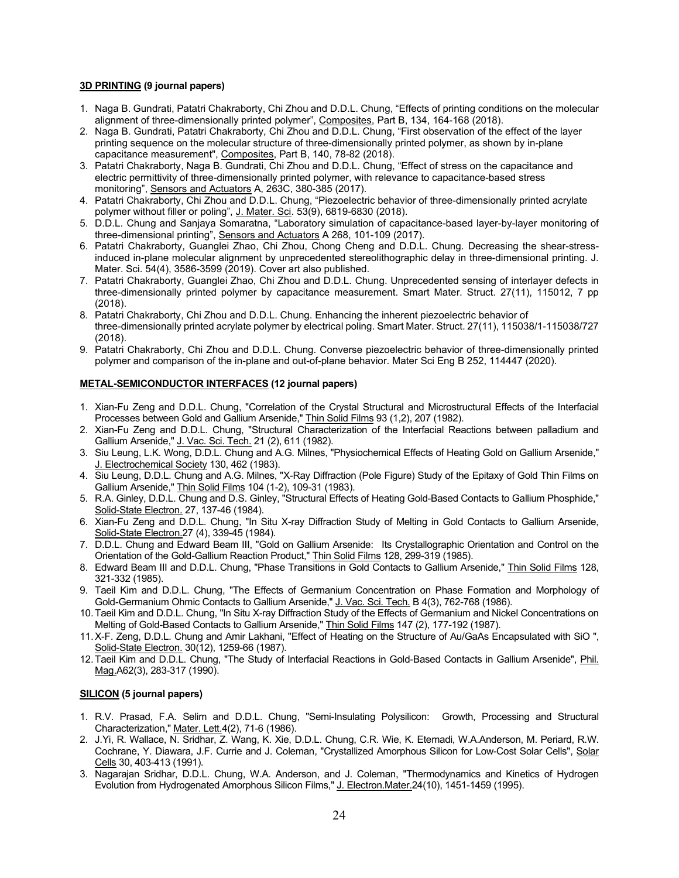# **3D PRINTING (9 journal papers)**

- 1. Naga B. Gundrati, Patatri Chakraborty, Chi Zhou and D.D.L. Chung, "Effects of printing conditions on the molecular alignment of three-dimensionally printed polymer", Composites, Part B, 134, 164-168 (2018).
- 2. Naga B. Gundrati, Patatri Chakraborty, Chi Zhou and D.D.L. Chung, "First observation of the effect of the layer printing sequence on the molecular structure of three-dimensionally printed polymer, as shown by in-plane capacitance measurement", Composites, Part B, 140, 78-82 (2018).
- 3. Patatri Chakraborty, Naga B. Gundrati, Chi Zhou and D.D.L. Chung, "Effect of stress on the capacitance and electric permittivity of three-dimensionally printed polymer, with relevance to capacitance-based stress monitoring", Sensors and Actuators A, 263C, 380-385 (2017).
- 4. Patatri Chakraborty, Chi Zhou and D.D.L. Chung, "Piezoelectric behavior of three-dimensionally printed acrylate polymer without filler or poling", J. Mater. Sci. 53(9), 6819-6830 (2018).
- 5. D.D.L. Chung and Sanjaya Somaratna, "Laboratory simulation of capacitance-based layer-by-layer monitoring of three-dimensional printing", Sensors and Actuators A 268, 101-109 (2017).
- 6. Patatri Chakraborty, Guanglei Zhao, Chi Zhou, Chong Cheng and D.D.L. Chung. Decreasing the shear-stressinduced in-plane molecular alignment by unprecedented stereolithographic delay in three-dimensional printing. J. Mater. Sci. 54(4), 3586-3599 (2019). Cover art also published.
- 7. Patatri Chakraborty, Guanglei Zhao, Chi Zhou and D.D.L. Chung. Unprecedented sensing of interlayer defects in three-dimensionally printed polymer by capacitance measurement. Smart Mater. Struct. 27(11), 115012, 7 pp (2018).
- 8. Patatri Chakraborty, Chi Zhou and D.D.L. Chung. Enhancing the inherent piezoelectric behavior of three-dimensionally printed acrylate polymer by electrical poling. Smart Mater. Struct. 27(11), 115038/1-115038/727 (2018).
- 9. Patatri Chakraborty, Chi Zhou and D.D.L. Chung. Converse piezoelectric behavior of three-dimensionally printed polymer and comparison of the in-plane and out-of-plane behavior. Mater Sci Eng B 252, 114447 (2020).

# **METAL-SEMICONDUCTOR INTERFACES (12 journal papers)**

- 1. Xian-Fu Zeng and D.D.L. Chung, "Correlation of the Crystal Structural and Microstructural Effects of the Interfacial Processes between Gold and Gallium Arsenide," Thin Solid Films 93 (1,2), 207 (1982).
- 2. Xian-Fu Zeng and D.D.L. Chung, "Structural Characterization of the Interfacial Reactions between palladium and Gallium Arsenide," J. Vac. Sci. Tech. 21 (2), 611 (1982).
- 3. Siu Leung, L.K. Wong, D.D.L. Chung and A.G. Milnes, "Physiochemical Effects of Heating Gold on Gallium Arsenide," J. Electrochemical Society 130, 462 (1983).
- 4. Siu Leung, D.D.L. Chung and A.G. Milnes, "X-Ray Diffraction (Pole Figure) Study of the Epitaxy of Gold Thin Films on Gallium Arsenide," Thin Solid Films 104 (1-2), 109-31 (1983).
- 5. R.A. Ginley, D.D.L. Chung and D.S. Ginley, "Structural Effects of Heating Gold-Based Contacts to Gallium Phosphide," Solid-State Electron. 27, 137-46 (1984).
- 6. Xian-Fu Zeng and D.D.L. Chung, "In Situ X-ray Diffraction Study of Melting in Gold Contacts to Gallium Arsenide, Solid-State Electron.27 (4), 339-45 (1984).
- 7. D.D.L. Chung and Edward Beam III, "Gold on Gallium Arsenide: Its Crystallographic Orientation and Control on the Orientation of the Gold-Gallium Reaction Product," Thin Solid Films 128, 299-319 (1985).
- 8. Edward Beam III and D.D.L. Chung, "Phase Transitions in Gold Contacts to Gallium Arsenide," Thin Solid Films 128, 321-332 (1985).
- 9. Taeil Kim and D.D.L. Chung, "The Effects of Germanium Concentration on Phase Formation and Morphology of Gold-Germanium Ohmic Contacts to Gallium Arsenide," J. Vac. Sci. Tech. B 4(3), 762-768 (1986).
- 10.Taeil Kim and D.D.L. Chung, "In Situ X-ray Diffraction Study of the Effects of Germanium and Nickel Concentrations on Melting of Gold-Based Contacts to Gallium Arsenide," Thin Solid Films 147 (2), 177-192 (1987).
- 11.X-F. Zeng, D.D.L. Chung and Amir Lakhani, "Effect of Heating on the Structure of Au/GaAs Encapsulated with SiO ", Solid-State Electron. 30(12), 1259-66 (1987).
- 12. Taeil Kim and D.D.L. Chung, "The Study of Interfacial Reactions in Gold-Based Contacts in Gallium Arsenide", Phil. Mag.A62(3), 283-317 (1990).

# **SILICON (5 journal papers)**

- 1. R.V. Prasad, F.A. Selim and D.D.L. Chung, "Semi-Insulating Polysilicon: Growth, Processing and Structural Characterization," Mater. Lett.4(2), 71-6 (1986).
- 2. J.Yi, R. Wallace, N. Sridhar, Z. Wang, K. Xie, D.D.L. Chung, C.R. Wie, K. Etemadi, W.A.Anderson, M. Periard, R.W. Cochrane, Y. Diawara, J.F. Currie and J. Coleman, "Crystallized Amorphous Silicon for Low-Cost Solar Cells", Solar Cells 30, 403-413 (1991).
- 3. Nagarajan Sridhar, D.D.L. Chung, W.A. Anderson, and J. Coleman, "Thermodynamics and Kinetics of Hydrogen Evolution from Hydrogenated Amorphous Silicon Films," J. Electron.Mater.24(10), 1451-1459 (1995).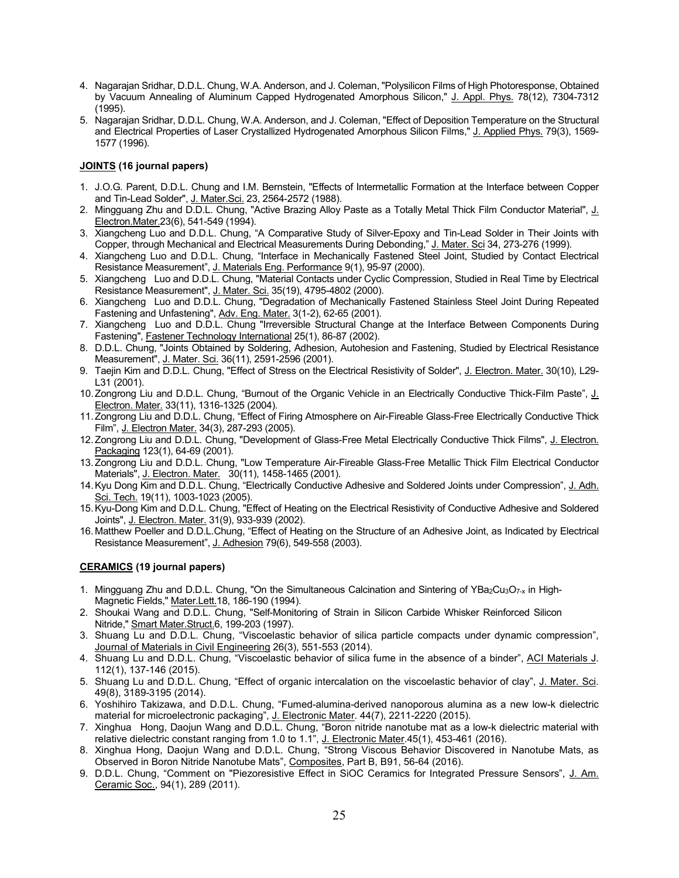- 4. Nagarajan Sridhar, D.D.L. Chung, W.A. Anderson, and J. Coleman, "Polysilicon Films of High Photoresponse, Obtained by Vacuum Annealing of Aluminum Capped Hydrogenated Amorphous Silicon," J. Appl. Phys. 78(12), 7304-7312 (1995).
- 5. Nagarajan Sridhar, D.D.L. Chung, W.A. Anderson, and J. Coleman, "Effect of Deposition Temperature on the Structural and Electrical Properties of Laser Crystallized Hydrogenated Amorphous Silicon Films," J. Applied Phys. 79(3), 1569- 1577 (1996).

# **JOINTS (16 journal papers)**

- 1. J.O.G. Parent, D.D.L. Chung and I.M. Bernstein, "Effects of Intermetallic Formation at the Interface between Copper and Tin-Lead Solder", J. Mater.Sci. 23, 2564-2572 (1988).
- 2. Mingguang Zhu and D.D.L. Chung, "Active Brazing Alloy Paste as a Totally Metal Thick Film Conductor Material", J. Electron.Mater.23(6), 541-549 (1994).
- 3. Xiangcheng Luo and D.D.L. Chung, "A Comparative Study of Silver-Epoxy and Tin-Lead Solder in Their Joints with Copper, through Mechanical and Electrical Measurements During Debonding," J. Mater. Sci 34, 273-276 (1999).
- 4. Xiangcheng Luo and D.D.L. Chung, "Interface in Mechanically Fastened Steel Joint, Studied by Contact Electrical Resistance Measurement", J. Materials Eng. Performance 9(1), 95-97 (2000).
- 5. Xiangcheng Luo and D.D.L. Chung, "Material Contacts under Cyclic Compression, Studied in Real Time by Electrical Resistance Measurement", J. Mater. Sci. 35(19), 4795-4802 (2000).
- 6. Xiangcheng Luo and D.D.L. Chung, "Degradation of Mechanically Fastened Stainless Steel Joint During Repeated Fastening and Unfastening", Adv. Eng. Mater. 3(1-2), 62-65 (2001).
- 7. Xiangcheng Luo and D.D.L. Chung "Irreversible Structural Change at the Interface Between Components During Fastening", Fastener Technology International 25(1), 86-87 (2002).
- 8. D.D.L. Chung, "Joints Obtained by Soldering, Adhesion, Autohesion and Fastening, Studied by Electrical Resistance Measurement", J. Mater. Sci. 36(11), 2591-2596 (2001).
- 9. Taejin Kim and D.D.L. Chung, "Effect of Stress on the Electrical Resistivity of Solder", J. Electron. Mater. 30(10), L29- L31 (2001).
- 10.Zongrong Liu and D.D.L. Chung, "Burnout of the Organic Vehicle in an Electrically Conductive Thick-Film Paste", J. Electron. Mater. 33(11), 1316-1325 (2004).
- 11.Zongrong Liu and D.D.L. Chung, "Effect of Firing Atmosphere on Air-Fireable Glass-Free Electrically Conductive Thick Film", J. Electron Mater. 34(3), 287-293 (2005).
- 12. Zongrong Liu and D.D.L. Chung, "Development of Glass-Free Metal Electrically Conductive Thick Films", J. Electron. Packaging 123(1), 64-69 (2001).
- 13.Zongrong Liu and D.D.L. Chung, "Low Temperature Air-Fireable Glass-Free Metallic Thick Film Electrical Conductor Materials", J. Electron. Mater. 30(11), 1458-1465 (2001).
- 14.Kyu Dong Kim and D.D.L. Chung, "Electrically Conductive Adhesive and Soldered Joints under Compression", J. Adh. Sci. Tech. 19(11), 1003-1023 (2005).
- 15.Kyu-Dong Kim and D.D.L. Chung, "Effect of Heating on the Electrical Resistivity of Conductive Adhesive and Soldered Joints", J. Electron. Mater. 31(9), 933-939 (2002).
- 16.Matthew Poeller and D.D.L.Chung, "Effect of Heating on the Structure of an Adhesive Joint, as Indicated by Electrical Resistance Measurement", J. Adhesion 79(6), 549-558 (2003).

# **CERAMICS (19 journal papers)**

- 1. Mingguang Zhu and D.D.L. Chung, "On the Simultaneous Calcination and Sintering of YBa2Cu3O7-x in High-Magnetic Fields," Mater.Lett.18, 186-190 (1994).
- 2. Shoukai Wang and D.D.L. Chung, "Self-Monitoring of Strain in Silicon Carbide Whisker Reinforced Silicon Nitride," Smart Mater.Struct.6, 199-203 (1997).
- 3. Shuang Lu and D.D.L. Chung, "Viscoelastic behavior of silica particle compacts under dynamic compression", Journal of Materials in Civil Engineering 26(3), 551-553 (2014).
- 4. Shuang Lu and D.D.L. Chung, "Viscoelastic behavior of silica fume in the absence of a binder", ACI Materials J. 112(1), 137-146 (2015).
- 5. Shuang Lu and D.D.L. Chung, "Effect of organic intercalation on the viscoelastic behavior of clay", J. Mater. Sci. 49(8), 3189-3195 (2014).
- 6. Yoshihiro Takizawa, and D.D.L. Chung, "Fumed-alumina-derived nanoporous alumina as a new low-k dielectric material for microelectronic packaging", J. Electronic Mater. 44(7), 2211-2220 (2015).
- 7. Xinghua Hong, Daojun Wang and D.D.L. Chung, "Boron nitride nanotube mat as a low-k dielectric material with relative dielectric constant ranging from 1.0 to 1.1", J. Electronic Mater.45(1), 453-461 (2016).
- 8. Xinghua Hong, Daojun Wang and D.D.L. Chung, "Strong Viscous Behavior Discovered in Nanotube Mats, as Observed in Boron Nitride Nanotube Mats", Composites, Part B, B91, 56-64 (2016).
- 9. D.D.L. Chung, "Comment on "Piezoresistive Effect in SiOC Ceramics for Integrated Pressure Sensors", J. Am. Ceramic Soc., 94(1), 289 (2011).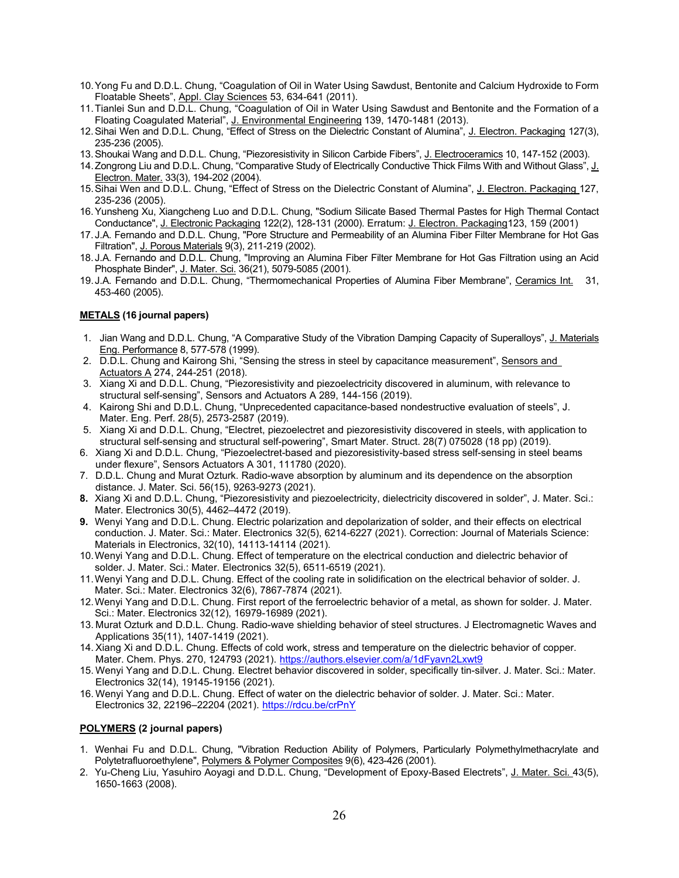- 10.Yong Fu and D.D.L. Chung, "Coagulation of Oil in Water Using Sawdust, Bentonite and Calcium Hydroxide to Form Floatable Sheets", Appl. Clay Sciences 53, 634-641 (2011).
- 11.Tianlei Sun and D.D.L. Chung, "Coagulation of Oil in Water Using Sawdust and Bentonite and the Formation of a Floating Coagulated Material", J. Environmental Engineering 139, 1470-1481 (2013).
- 12.Sihai Wen and D.D.L. Chung, "Effect of Stress on the Dielectric Constant of Alumina", J. Electron. Packaging 127(3), 235-236 (2005).
- 13.Shoukai Wang and D.D.L. Chung, "Piezoresistivity in Silicon Carbide Fibers", J. Electroceramics 10, 147-152 (2003).
- 14. Zongrong Liu and D.D.L. Chung, "Comparative Study of Electrically Conductive Thick Films With and Without Glass", J. Electron. Mater. 33(3), 194-202 (2004).
- 15. Sihai Wen and D.D.L. Chung, "Effect of Stress on the Dielectric Constant of Alumina", J. Electron. Packaging 127, 235-236 (2005).
- 16.Yunsheng Xu, Xiangcheng Luo and D.D.L. Chung, "Sodium Silicate Based Thermal Pastes for High Thermal Contact Conductance", J. Electronic Packaging 122(2), 128-131 (2000). Erratum: J. Electron. Packaging123, 159 (2001)
- 17. J.A. Fernando and D.D.L. Chung, "Pore Structure and Permeability of an Alumina Fiber Filter Membrane for Hot Gas Filtration", J. Porous Materials 9(3), 211-219 (2002).
- 18. J.A. Fernando and D.D.L. Chung, "Improving an Alumina Fiber Filter Membrane for Hot Gas Filtration using an Acid Phosphate Binder", J. Mater. Sci. 36(21), 5079-5085 (2001).
- 19.J.A. Fernando and D.D.L. Chung, "Thermomechanical Properties of Alumina Fiber Membrane", Ceramics Int. 31, 453-460 (2005).

# **METALS (16 journal papers)**

- 1. Jian Wang and D.D.L. Chung, "A Comparative Study of the Vibration Damping Capacity of Superalloys", J. Materials Eng. Performance 8, 577-578 (1999).
- 2. D.D.L. Chung and Kairong Shi, "Sensing the stress in steel by capacitance measurement", Sensors and Actuators A 274, 244-251 (2018).
- 3. Xiang Xi and D.D.L. Chung, "Piezoresistivity and piezoelectricity discovered in aluminum, with relevance to structural self-sensing", Sensors and Actuators A 289, 144-156 (2019).
- 4. Kairong Shi and D.D.L. Chung, "Unprecedented capacitance-based nondestructive evaluation of steels", J. Mater. Eng. Perf. 28(5), 2573-2587 (2019).
- 5. Xiang Xi and D.D.L. Chung, "Electret, piezoelectret and piezoresistivity discovered in steels, with application to structural self-sensing and structural self-powering", Smart Mater. Struct. 28(7) 075028 (18 pp) (2019).
- 6. Xiang Xi and D.D.L. Chung, "Piezoelectret-based and piezoresistivity-based stress self-sensing in steel beams under flexure", Sensors Actuators A 301, 111780 (2020).
- 7. D.D.L. Chung and Murat Ozturk. Radio-wave absorption by aluminum and its dependence on the absorption distance. J. Mater. Sci. 56(15), 9263-9273 (2021).
- **8.** Xiang Xi and D.D.L. Chung, "Piezoresistivity and piezoelectricity, dielectricity discovered in solder", J. Mater. Sci.: Mater. Electronics 30(5), 4462–4472 (2019).
- **9.** Wenyi Yang and D.D.L. Chung. Electric polarization and depolarization of solder, and their effects on electrical conduction. J. Mater. Sci.: Mater. Electronics 32(5), 6214-6227 (2021). Correction: Journal of Materials Science: Materials in Electronics, 32(10), 14113-14114 (2021).
- 10.Wenyi Yang and D.D.L. Chung. Effect of temperature on the electrical conduction and dielectric behavior of solder. J. Mater. Sci.: Mater. Electronics 32(5), 6511-6519 (2021).
- 11.Wenyi Yang and D.D.L. Chung. Effect of the cooling rate in solidification on the electrical behavior of solder. J. Mater. Sci.: Mater. Electronics 32(6), 7867-7874 (2021).
- 12.Wenyi Yang and D.D.L. Chung. First report of the ferroelectric behavior of a metal, as shown for solder. J. Mater. Sci.: Mater. Electronics 32(12), 16979-16989 (2021).
- 13. Murat Ozturk and D.D.L. Chung. Radio-wave shielding behavior of steel structures. J Electromagnetic Waves and Applications 35(11), 1407-1419 (2021).
- 14. Xiang Xi and D.D.L. Chung. Effects of cold work, stress and temperature on the dielectric behavior of copper. Mater. Chem. Phys. 270, 124793 (2021). <https://authors.elsevier.com/a/1dFyavn2Lxwt9>
- 15. Wenyi Yang and D.D.L. Chung. Electret behavior discovered in solder, specifically tin-silver. J. Mater. Sci.: Mater. Electronics 32(14), 19145-19156 (2021).
- 16. Wenyi Yang and D.D.L. Chung. Effect of water on the dielectric behavior of solder. J. Mater. Sci.: Mater. Electronics 32, 22196–22204 (2021). <https://rdcu.be/crPnY>

# **POLYMERS (2 journal papers)**

- 1. Wenhai Fu and D.D.L. Chung, "Vibration Reduction Ability of Polymers, Particularly Polymethylmethacrylate and Polytetrafluoroethylene", Polymers & Polymer Composites 9(6), 423-426 (2001).
- 2. Yu-Cheng Liu, Yasuhiro Aoyagi and D.D.L. Chung, "Development of Epoxy-Based Electrets", J. Mater. Sci. 43(5), 1650-1663 (2008).